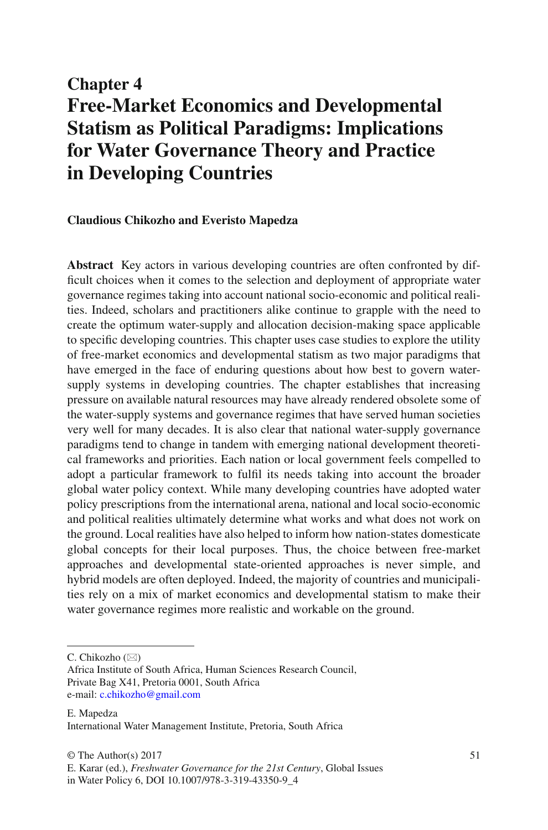# **Chapter 4 Free-Market Economics and Developmental Statism as Political Paradigms: Implications for Water Governance Theory and Practice in Developing Countries**

#### **Claudious Chikozho and Everisto Mapedza**

 **Abstract** Key actors in various developing countries are often confronted by difficult choices when it comes to the selection and deployment of appropriate water governance regimes taking into account national socio-economic and political realities. Indeed, scholars and practitioners alike continue to grapple with the need to create the optimum water-supply and allocation decision-making space applicable to specific developing countries. This chapter uses case studies to explore the utility of free-market economics and developmental statism as two major paradigms that have emerged in the face of enduring questions about how best to govern watersupply systems in developing countries. The chapter establishes that increasing pressure on available natural resources may have already rendered obsolete some of the water-supply systems and governance regimes that have served human societies very well for many decades. It is also clear that national water-supply governance paradigms tend to change in tandem with emerging national development theoretical frameworks and priorities. Each nation or local government feels compelled to adopt a particular framework to fulfil its needs taking into account the broader global water policy context. While many developing countries have adopted water policy prescriptions from the international arena, national and local socio-economic and political realities ultimately determine what works and what does not work on the ground. Local realities have also helped to inform how nation-states domesticate global concepts for their local purposes. Thus, the choice between free-market approaches and developmental state-oriented approaches is never simple, and hybrid models are often deployed. Indeed, the majority of countries and municipalities rely on a mix of market economics and developmental statism to make their water governance regimes more realistic and workable on the ground.

C. Chikozho ( $\boxtimes$ )

Africa Institute of South Africa, Human Sciences Research Council, Private Bag X41, Pretoria 0001, South Africa e-mail: [c.chikozho@gmail.com](mailto:c.chikozho@gmail.com)

E. Mapedza International Water Management Institute, Pretoria, South Africa

E. Karar (ed.), *Freshwater Governance for the 21st Century*, Global Issues in Water Policy 6, DOI 10.1007/978-3-319-43350-9\_4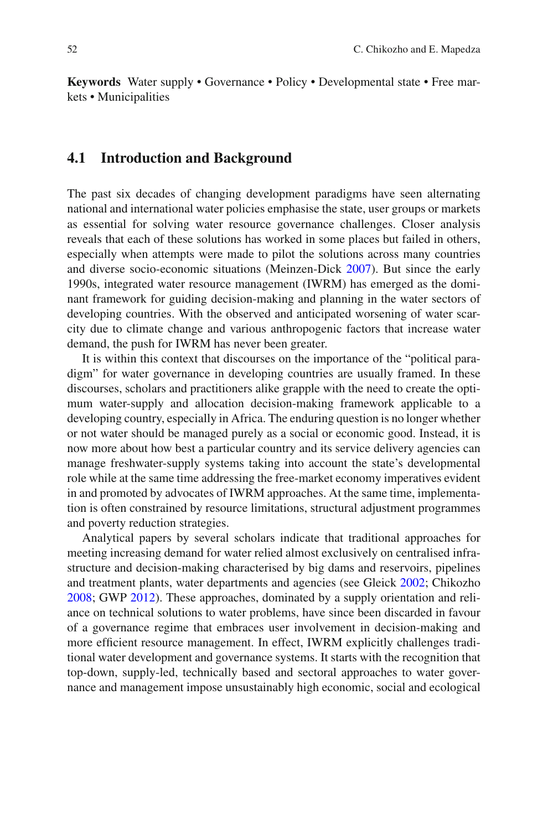**Keywords** Water supply • Governance • Policy • Developmental state • Free markets • Municipalities

## **4.1 Introduction and Background**

 The past six decades of changing development paradigms have seen alternating national and international water policies emphasise the state, user groups or markets as essential for solving water resource governance challenges. Closer analysis reveals that each of these solutions has worked in some places but failed in others, especially when attempts were made to pilot the solutions across many countries and diverse socio-economic situations (Meinzen-Dick 2007). But since the early 1990s, integrated water resource management (IWRM) has emerged as the dominant framework for guiding decision-making and planning in the water sectors of developing countries. With the observed and anticipated worsening of water scarcity due to climate change and various anthropogenic factors that increase water demand, the push for IWRM has never been greater.

 It is within this context that discourses on the importance of the "political paradigm" for water governance in developing countries are usually framed. In these discourses, scholars and practitioners alike grapple with the need to create the optimum water-supply and allocation decision-making framework applicable to a developing country, especially in Africa. The enduring question is no longer whether or not water should be managed purely as a social or economic good. Instead, it is now more about how best a particular country and its service delivery agencies can manage freshwater-supply systems taking into account the state's developmental role while at the same time addressing the free-market economy imperatives evident in and promoted by advocates of IWRM approaches. At the same time, implementation is often constrained by resource limitations, structural adjustment programmes and poverty reduction strategies.

 Analytical papers by several scholars indicate that traditional approaches for meeting increasing demand for water relied almost exclusively on centralised infrastructure and decision-making characterised by big dams and reservoirs, pipelines and treatment plants, water departments and agencies (see Gleick [2002](#page-24-0); Chikozho 2008; GWP 2012). These approaches, dominated by a supply orientation and reliance on technical solutions to water problems, have since been discarded in favour of a governance regime that embraces user involvement in decision-making and more efficient resource management. In effect, IWRM explicitly challenges traditional water development and governance systems. It starts with the recognition that top-down, supply-led, technically based and sectoral approaches to water governance and management impose unsustainably high economic, social and ecological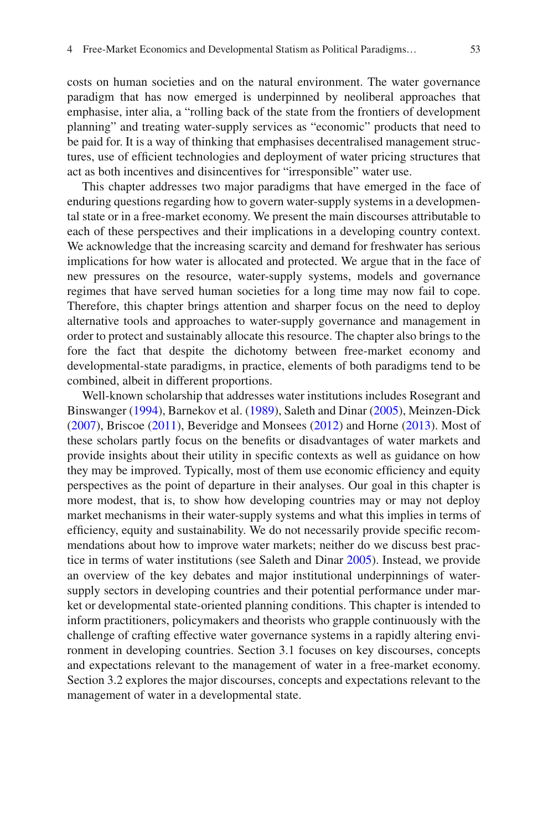costs on human societies and on the natural environment. The water governance paradigm that has now emerged is underpinned by neoliberal approaches that emphasise, inter alia, a "rolling back of the state from the frontiers of development planning" and treating water-supply services as "economic" products that need to be paid for. It is a way of thinking that emphasises decentralised management structures, use of efficient technologies and deployment of water pricing structures that act as both incentives and disincentives for "irresponsible" water use.

 This chapter addresses two major paradigms that have emerged in the face of enduring questions regarding how to govern water-supply systems in a developmental state or in a free-market economy. We present the main discourses attributable to each of these perspectives and their implications in a developing country context. We acknowledge that the increasing scarcity and demand for freshwater has serious implications for how water is allocated and protected. We argue that in the face of new pressures on the resource, water-supply systems, models and governance regimes that have served human societies for a long time may now fail to cope. Therefore, this chapter brings attention and sharper focus on the need to deploy alternative tools and approaches to water-supply governance and management in order to protect and sustainably allocate this resource. The chapter also brings to the fore the fact that despite the dichotomy between free-market economy and developmental- state paradigms, in practice, elements of both paradigms tend to be combined, albeit in different proportions.

 Well-known scholarship that addresses water institutions includes Rosegrant and Binswanger (1994), Barnekov et al. (1989), Saleth and Dinar (2005), Meinzen-Dick ( $2007$ ), Briscoe ( $2011$ ), Beveridge and Monsees ( $2012$ ) and Horne ( $2013$ ). Most of these scholars partly focus on the benefits or disadvantages of water markets and provide insights about their utility in specific contexts as well as guidance on how they may be improved. Typically, most of them use economic efficiency and equity perspectives as the point of departure in their analyses. Our goal in this chapter is more modest, that is, to show how developing countries may or may not deploy market mechanisms in their water-supply systems and what this implies in terms of efficiency, equity and sustainability. We do not necessarily provide specific recommendations about how to improve water markets; neither do we discuss best prac-tice in terms of water institutions (see Saleth and Dinar [2005](#page-27-0)). Instead, we provide an overview of the key debates and major institutional underpinnings of watersupply sectors in developing countries and their potential performance under market or developmental state-oriented planning conditions. This chapter is intended to inform practitioners, policymakers and theorists who grapple continuously with the challenge of crafting effective water governance systems in a rapidly altering environment in developing countries. Section 3.1 focuses on key discourses, concepts and expectations relevant to the management of water in a free-market economy. Section 3.2 explores the major discourses, concepts and expectations relevant to the management of water in a developmental state.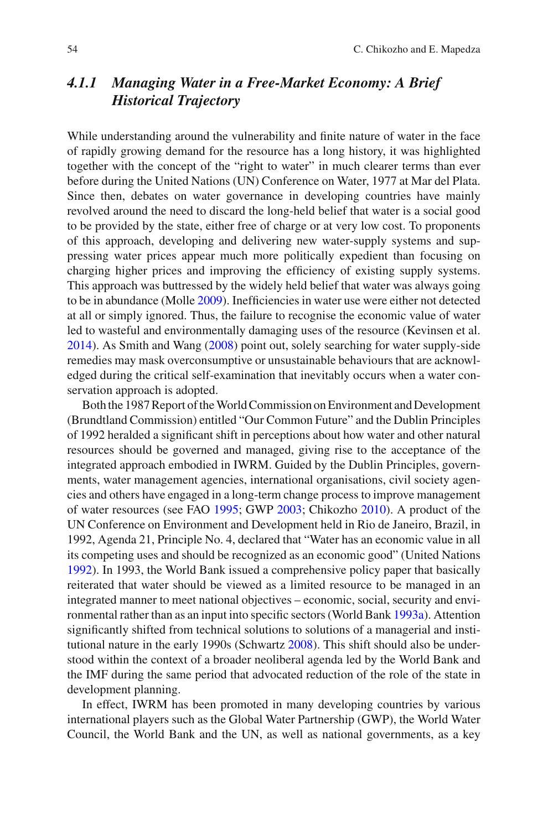## *4.1.1 Managing Water in a Free-Market Economy: A Brief Historical Trajectory*

While understanding around the vulnerability and finite nature of water in the face of rapidly growing demand for the resource has a long history, it was highlighted together with the concept of the "right to water" in much clearer terms than ever before during the United Nations (UN) Conference on Water, 1977 at Mar del Plata. Since then, debates on water governance in developing countries have mainly revolved around the need to discard the long-held belief that water is a social good to be provided by the state, either free of charge or at very low cost. To proponents of this approach, developing and delivering new water-supply systems and suppressing water prices appear much more politically expedient than focusing on charging higher prices and improving the efficiency of existing supply systems. This approach was buttressed by the widely held belief that water was always going to be in abundance (Molle 2009). Inefficiencies in water use were either not detected at all or simply ignored. Thus, the failure to recognise the economic value of water led to wasteful and environmentally damaging uses of the resource (Kevinsen et al. 2014). As Smith and Wang (2008) point out, solely searching for water supply-side remedies may mask overconsumptive or unsustainable behaviours that are acknowledged during the critical self-examination that inevitably occurs when a water conservation approach is adopted.

 Both the 1987 Report of the World Commission on Environment and Development (Brundtland Commission) entitled "Our Common Future" and the Dublin Principles of 1992 heralded a significant shift in perceptions about how water and other natural resources should be governed and managed, giving rise to the acceptance of the integrated approach embodied in IWRM. Guided by the Dublin Principles, governments, water management agencies, international organisations, civil society agencies and others have engaged in a long-term change process to improve management of water resources (see FAO [1995](#page-24-0); GWP [2003](#page-24-0); Chikozho 2010). A product of the UN Conference on Environment and Development held in Rio de Janeiro, Brazil, in 1992, Agenda 21, Principle No. 4, declared that "Water has an economic value in all its competing uses and should be recognized as an economic good" (United Nations 1992). In 1993, the World Bank issued a comprehensive policy paper that basically reiterated that water should be viewed as a limited resource to be managed in an integrated manner to meet national objectives – economic, social, security and envi-ronmental rather than as an input into specific sectors (World Bank [1993a](#page-28-0)). Attention significantly shifted from technical solutions to solutions of a managerial and insti-tutional nature in the early 1990s (Schwartz [2008](#page-27-0)). This shift should also be understood within the context of a broader neoliberal agenda led by the World Bank and the IMF during the same period that advocated reduction of the role of the state in development planning.

 In effect, IWRM has been promoted in many developing countries by various international players such as the Global Water Partnership (GWP), the World Water Council, the World Bank and the UN, as well as national governments, as a key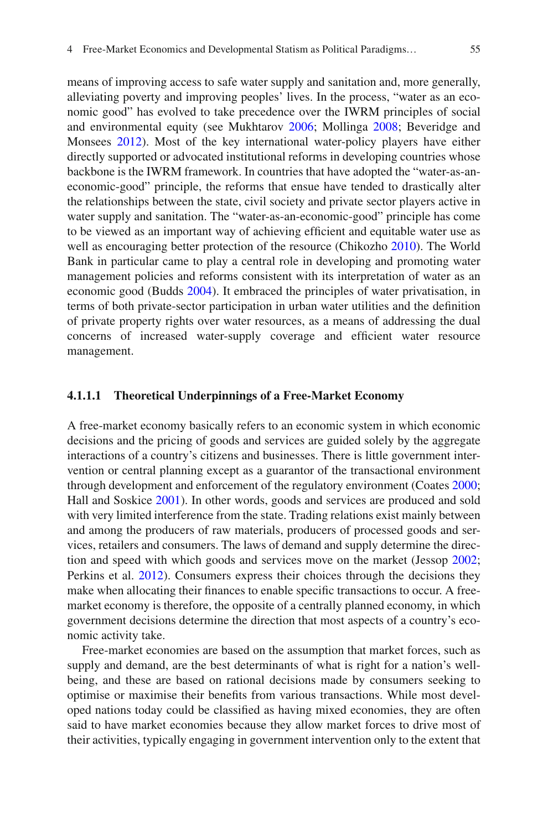means of improving access to safe water supply and sanitation and, more generally, alleviating poverty and improving peoples' lives. In the process, "water as an economic good" has evolved to take precedence over the IWRM principles of social and environmental equity (see Mukhtarov 2006; Mollinga [2008](#page-26-0); Beveridge and Monsees 2012). Most of the key international water-policy players have either directly supported or advocated institutional reforms in developing countries whose backbone is the IWRM framework. In countries that have adopted the "water-as-aneconomic-good" principle, the reforms that ensue have tended to drastically alter the relationships between the state, civil society and private sector players active in water supply and sanitation. The "water-as-an-economic-good" principle has come to be viewed as an important way of achieving efficient and equitable water use as well as encouraging better protection of the resource (Chikozho 2010). The World Bank in particular came to play a central role in developing and promoting water management policies and reforms consistent with its interpretation of water as an economic good (Budds  $2004$ ). It embraced the principles of water privatisation, in terms of both private-sector participation in urban water utilities and the definition of private property rights over water resources, as a means of addressing the dual concerns of increased water-supply coverage and efficient water resource management.

#### **4.1.1.1 Theoretical Underpinnings of a Free-Market Economy**

 A free-market economy basically refers to an economic system in which economic decisions and the pricing of goods and services are guided solely by the aggregate interactions of a country's citizens and businesses. There is little government intervention or central planning except as a guarantor of the transactional environment through development and enforcement of the regulatory environment (Coates 2000; Hall and Soskice 2001). In other words, goods and services are produced and sold with very limited interference from the state. Trading relations exist mainly between and among the producers of raw materials, producers of processed goods and services, retailers and consumers. The laws of demand and supply determine the direction and speed with which goods and services move on the market (Jessop 2002; Perkins et al. [2012](#page-26-0)). Consumers express their choices through the decisions they make when allocating their finances to enable specific transactions to occur. A freemarket economy is therefore, the opposite of a centrally planned economy, in which government decisions determine the direction that most aspects of a country's economic activity take.

 Free-market economies are based on the assumption that market forces, such as supply and demand, are the best determinants of what is right for a nation's wellbeing, and these are based on rational decisions made by consumers seeking to optimise or maximise their benefits from various transactions. While most developed nations today could be classified as having mixed economies, they are often said to have market economies because they allow market forces to drive most of their activities, typically engaging in government intervention only to the extent that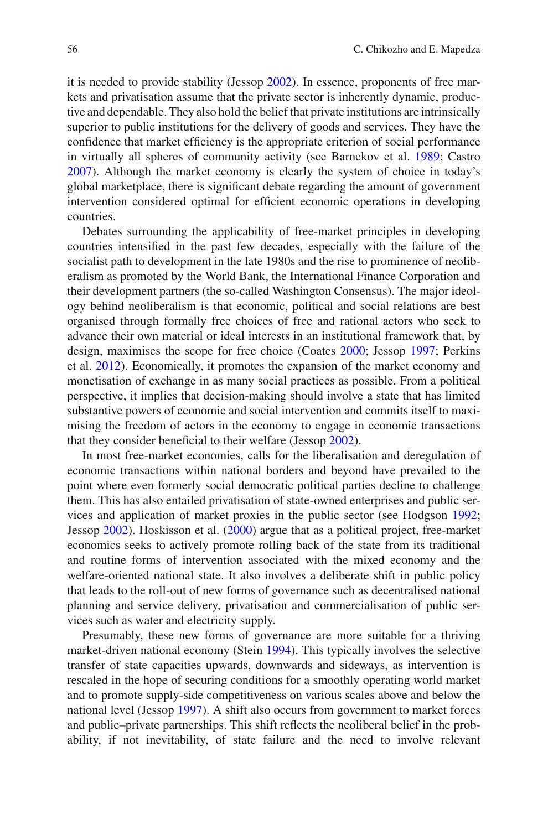it is needed to provide stability (Jessop [2002](#page-25-0)). In essence, proponents of free markets and privatisation assume that the private sector is inherently dynamic, productive and dependable. They also hold the belief that private institutions are intrinsically superior to public institutions for the delivery of goods and services. They have the confidence that market efficiency is the appropriate criterion of social performance in virtually all spheres of community activity (see Barnekov et al. 1989; Castro 2007). Although the market economy is clearly the system of choice in today's global marketplace, there is significant debate regarding the amount of government intervention considered optimal for efficient economic operations in developing countries.

 Debates surrounding the applicability of free-market principles in developing countries intensified in the past few decades, especially with the failure of the socialist path to development in the late 1980s and the rise to prominence of neoliberalism as promoted by the World Bank, the International Finance Corporation and their development partners (the so-called Washington Consensus). The major ideology behind neoliberalism is that economic, political and social relations are best organised through formally free choices of free and rational actors who seek to advance their own material or ideal interests in an institutional framework that, by design, maximises the scope for free choice (Coates 2000; Jessop [1997](#page-25-0); Perkins et al. [2012 \)](#page-26-0). Economically, it promotes the expansion of the market economy and monetisation of exchange in as many social practices as possible. From a political perspective, it implies that decision-making should involve a state that has limited substantive powers of economic and social intervention and commits itself to maximising the freedom of actors in the economy to engage in economic transactions that they consider beneficial to their welfare (Jessop [2002](#page-25-0)).

 In most free-market economies, calls for the liberalisation and deregulation of economic transactions within national borders and beyond have prevailed to the point where even formerly social democratic political parties decline to challenge them. This has also entailed privatisation of state-owned enterprises and public services and application of market proxies in the public sector (see Hodgson 1992; Jessop 2002). Hoskisson et al. (2000) argue that as a political project, free-market economics seeks to actively promote rolling back of the state from its traditional and routine forms of intervention associated with the mixed economy and the welfare- oriented national state. It also involves a deliberate shift in public policy that leads to the roll-out of new forms of governance such as decentralised national planning and service delivery, privatisation and commercialisation of public services such as water and electricity supply.

 Presumably, these new forms of governance are more suitable for a thriving market-driven national economy (Stein 1994). This typically involves the selective transfer of state capacities upwards, downwards and sideways, as intervention is rescaled in the hope of securing conditions for a smoothly operating world market and to promote supply-side competitiveness on various scales above and below the national level (Jessop [1997](#page-25-0)). A shift also occurs from government to market forces and public–private partnerships. This shift reflects the neoliberal belief in the probability, if not inevitability, of state failure and the need to involve relevant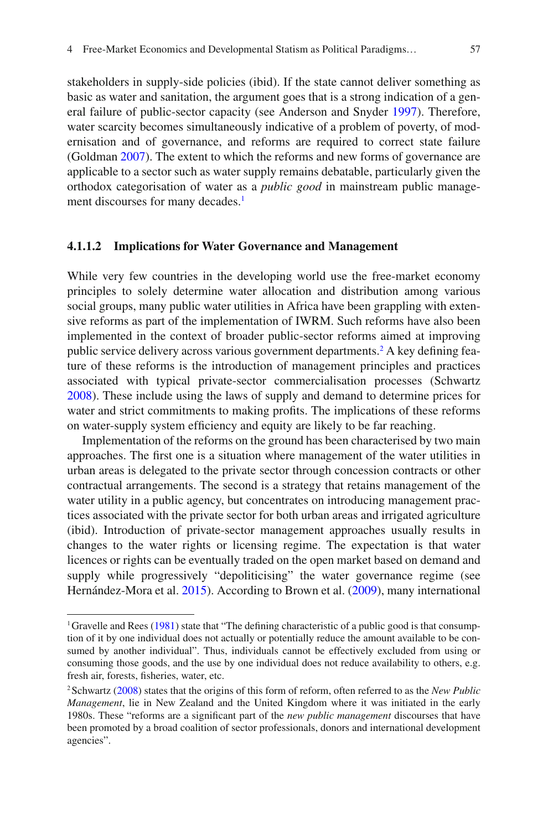stakeholders in supply-side policies (ibid). If the state cannot deliver something as basic as water and sanitation, the argument goes that is a strong indication of a general failure of public-sector capacity (see Anderson and Snyder 1997). Therefore, water scarcity becomes simultaneously indicative of a problem of poverty, of modernisation and of governance, and reforms are required to correct state failure (Goldman 2007). The extent to which the reforms and new forms of governance are applicable to a sector such as water supply remains debatable, particularly given the orthodox categorisation of water as a *public good* in mainstream public management discourses for many decades.<sup>1</sup>

#### **4.1.1.2 Implications for Water Governance and Management**

 While very few countries in the developing world use the free-market economy principles to solely determine water allocation and distribution among various social groups, many public water utilities in Africa have been grappling with extensive reforms as part of the implementation of IWRM. Such reforms have also been implemented in the context of broader public-sector reforms aimed at improving public service delivery across various government departments.<sup>2</sup> A key defining feature of these reforms is the introduction of management principles and practices associated with typical private-sector commercialisation processes (Schwartz 2008). These include using the laws of supply and demand to determine prices for water and strict commitments to making profits. The implications of these reforms on water-supply system efficiency and equity are likely to be far reaching.

 Implementation of the reforms on the ground has been characterised by two main approaches. The first one is a situation where management of the water utilities in urban areas is delegated to the private sector through concession contracts or other contractual arrangements. The second is a strategy that retains management of the water utility in a public agency, but concentrates on introducing management practices associated with the private sector for both urban areas and irrigated agriculture (ibid). Introduction of private-sector management approaches usually results in changes to the water rights or licensing regime. The expectation is that water licences or rights can be eventually traded on the open market based on demand and supply while progressively "depoliticising" the water governance regime (see Hernández-Mora et al. 2015). According to Brown et al. (2009), many international

<sup>&</sup>lt;sup>1</sup> Gravelle and Rees (1981) state that "The defining characteristic of a public good is that consumption of it by one individual does not actually or potentially reduce the amount available to be consumed by another individual". Thus, individuals cannot be effectively excluded from using or consuming those goods, and the use by one individual does not reduce availability to others, e.g. fresh air, forests, fisheries, water, etc.

<sup>&</sup>lt;sup>2</sup> Schwartz (2008) states that the origins of this form of reform, often referred to as the *New Public Management*, lie in New Zealand and the United Kingdom where it was initiated in the early 1980s. These "reforms are a significant part of the *new public management* discourses that have been promoted by a broad coalition of sector professionals, donors and international development agencies".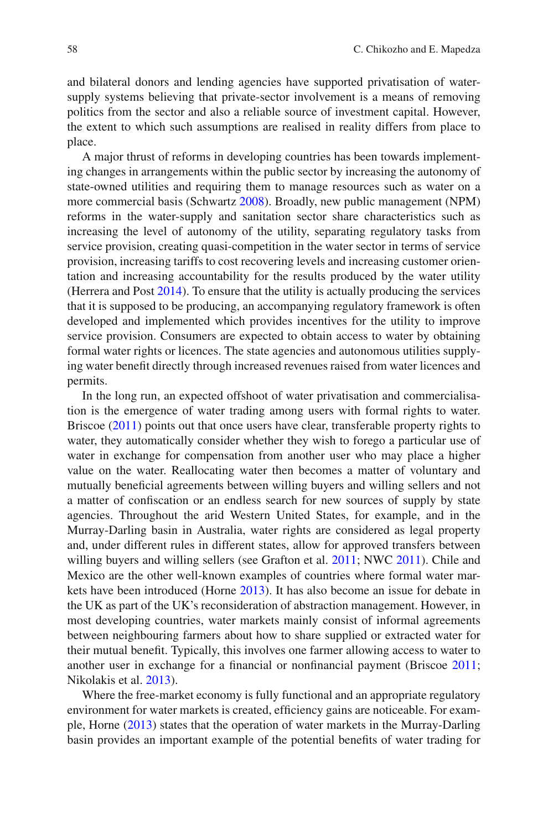and bilateral donors and lending agencies have supported privatisation of watersupply systems believing that private-sector involvement is a means of removing politics from the sector and also a reliable source of investment capital. However, the extent to which such assumptions are realised in reality differs from place to place.

 A major thrust of reforms in developing countries has been towards implementing changes in arrangements within the public sector by increasing the autonomy of state-owned utilities and requiring them to manage resources such as water on a more commercial basis (Schwartz [2008](#page-27-0)). Broadly, new public management (NPM) reforms in the water-supply and sanitation sector share characteristics such as increasing the level of autonomy of the utility, separating regulatory tasks from service provision, creating quasi-competition in the water sector in terms of service provision, increasing tariffs to cost recovering levels and increasing customer orientation and increasing accountability for the results produced by the water utility (Herrera and Post [2014](#page-25-0) ). To ensure that the utility is actually producing the services that it is supposed to be producing, an accompanying regulatory framework is often developed and implemented which provides incentives for the utility to improve service provision. Consumers are expected to obtain access to water by obtaining formal water rights or licences. The state agencies and autonomous utilities supplying water benefit directly through increased revenues raised from water licences and permits.

 In the long run, an expected offshoot of water privatisation and commercialisation is the emergence of water trading among users with formal rights to water. Briscoe (2011) points out that once users have clear, transferable property rights to water, they automatically consider whether they wish to forego a particular use of water in exchange for compensation from another user who may place a higher value on the water. Reallocating water then becomes a matter of voluntary and mutually beneficial agreements between willing buyers and willing sellers and not a matter of confiscation or an endless search for new sources of supply by state agencies. Throughout the arid Western United States, for example, and in the Murray-Darling basin in Australia, water rights are considered as legal property and, under different rules in different states, allow for approved transfers between willing buyers and willing sellers (see Grafton et al. [2011](#page-24-0); NWC 2011). Chile and Mexico are the other well-known examples of countries where formal water markets have been introduced (Horne [2013 \)](#page-25-0). It has also become an issue for debate in the UK as part of the UK's reconsideration of abstraction management. However, in most developing countries, water markets mainly consist of informal agreements between neighbouring farmers about how to share supplied or extracted water for their mutual benefit. Typically, this involves one farmer allowing access to water to another user in exchange for a financial or nonfinancial payment (Briscoe 2011; Nikolakis et al. [2013](#page-26-0)).

 Where the free-market economy is fully functional and an appropriate regulatory environment for water markets is created, efficiency gains are noticeable. For example, Horne (2013) states that the operation of water markets in the Murray-Darling basin provides an important example of the potential benefits of water trading for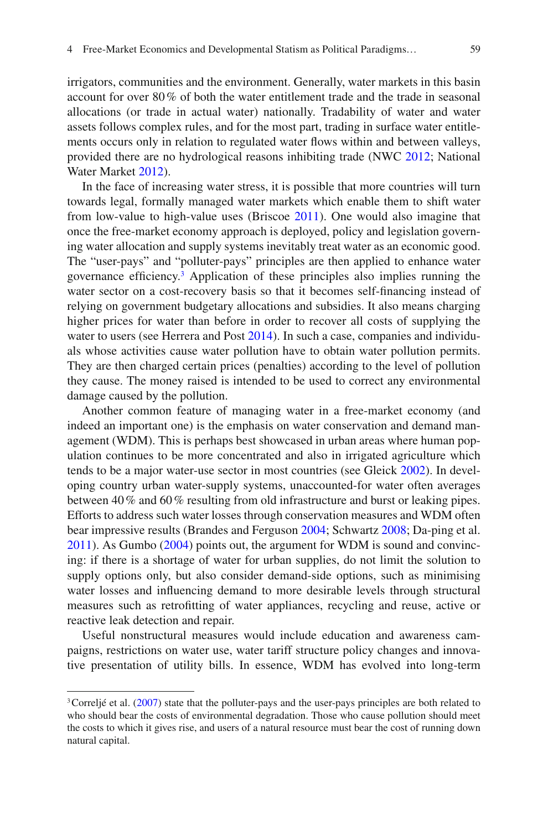irrigators, communities and the environment. Generally, water markets in this basin account for over 80 % of both the water entitlement trade and the trade in seasonal allocations (or trade in actual water) nationally. Tradability of water and water assets follows complex rules, and for the most part, trading in surface water entitlements occurs only in relation to regulated water flows within and between valleys, provided there are no hydrological reasons inhibiting trade (NWC [2012](#page-26-0); National Water Market [2012](#page-26-0)).

 In the face of increasing water stress, it is possible that more countries will turn towards legal, formally managed water markets which enable them to shift water from low-value to high-value uses (Briscoe [2011](#page-23-0)). One would also imagine that once the free-market economy approach is deployed, policy and legislation governing water allocation and supply systems inevitably treat water as an economic good. The "user-pays" and "polluter-pays" principles are then applied to enhance water governance efficiency.<sup>3</sup> Application of these principles also implies running the water sector on a cost-recovery basis so that it becomes self-financing instead of relying on government budgetary allocations and subsidies. It also means charging higher prices for water than before in order to recover all costs of supplying the water to users (see Herrera and Post 2014). In such a case, companies and individuals whose activities cause water pollution have to obtain water pollution permits. They are then charged certain prices (penalties) according to the level of pollution they cause. The money raised is intended to be used to correct any environmental damage caused by the pollution.

 Another common feature of managing water in a free-market economy (and indeed an important one) is the emphasis on water conservation and demand management (WDM). This is perhaps best showcased in urban areas where human population continues to be more concentrated and also in irrigated agriculture which tends to be a major water-use sector in most countries (see Gleick [2002](#page-24-0) ). In developing country urban water-supply systems, unaccounted-for water often averages between 40 % and 60 % resulting from old infrastructure and burst or leaking pipes. Efforts to address such water losses through conservation measures and WDM often bear impressive results (Brandes and Ferguson 2004; Schwartz [2008](#page-27-0); Da-ping et al.  $2011$ ). As Gumbo ( $2004$ ) points out, the argument for WDM is sound and convincing: if there is a shortage of water for urban supplies, do not limit the solution to supply options only, but also consider demand-side options, such as minimising water losses and influencing demand to more desirable levels through structural measures such as retrofitting of water appliances, recycling and reuse, active or reactive leak detection and repair.

 Useful nonstructural measures would include education and awareness campaigns, restrictions on water use, water tariff structure policy changes and innovative presentation of utility bills. In essence, WDM has evolved into long-term

 $3$  Correljé et al. (2007) state that the polluter-pays and the user-pays principles are both related to who should bear the costs of environmental degradation. Those who cause pollution should meet the costs to which it gives rise, and users of a natural resource must bear the cost of running down natural capital.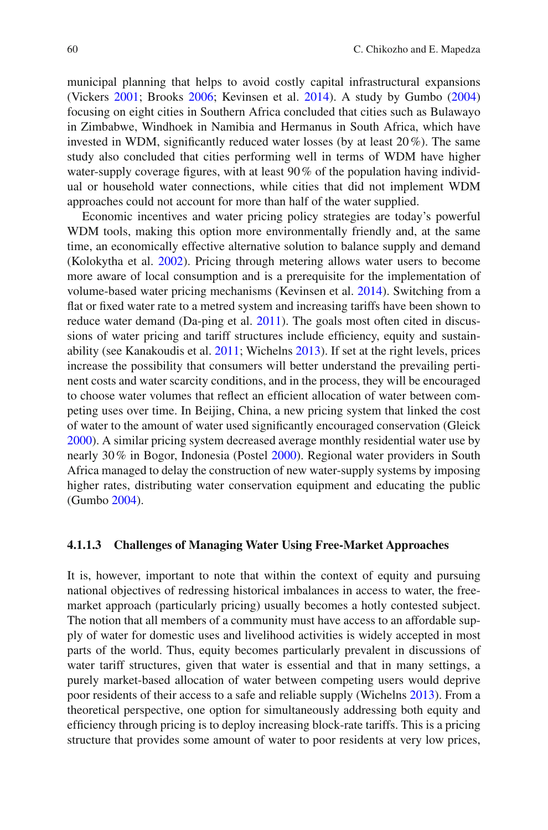municipal planning that helps to avoid costly capital infrastructural expansions (Vickers  $2001$ ; Brooks  $2006$ ; Kevinsen et al.  $2014$ ). A study by Gumbo  $(2004)$ focusing on eight cities in Southern Africa concluded that cities such as Bulawayo in Zimbabwe, Windhoek in Namibia and Hermanus in South Africa, which have invested in WDM, significantly reduced water losses (by at least  $20\%$ ). The same study also concluded that cities performing well in terms of WDM have higher water-supply coverage figures, with at least  $90\%$  of the population having individual or household water connections, while cities that did not implement WDM approaches could not account for more than half of the water supplied.

 Economic incentives and water pricing policy strategies are today's powerful WDM tools, making this option more environmentally friendly and, at the same time, an economically effective alternative solution to balance supply and demand (Kolokytha et al. [2002 \)](#page-25-0). Pricing through metering allows water users to become more aware of local consumption and is a prerequisite for the implementation of volume-based water pricing mechanisms (Kevinsen et al. [2014 \)](#page-25-0). Switching from a flat or fixed water rate to a metred system and increasing tariffs have been shown to reduce water demand (Da-ping et al. 2011). The goals most often cited in discussions of water pricing and tariff structures include efficiency, equity and sustain-ability (see Kanakoudis et al. [2011](#page-25-0); Wichelns [2013](#page-28-0)). If set at the right levels, prices increase the possibility that consumers will better understand the prevailing pertinent costs and water scarcity conditions, and in the process, they will be encouraged to choose water volumes that reflect an efficient allocation of water between competing uses over time. In Beijing, China, a new pricing system that linked the cost of water to the amount of water used significantly encouraged conservation (Gleick 2000). A similar pricing system decreased average monthly residential water use by nearly 30% in Bogor, Indonesia (Postel 2000). Regional water providers in South Africa managed to delay the construction of new water-supply systems by imposing higher rates, distributing water conservation equipment and educating the public (Gumbo 2004).

## **4.1.1.3 Challenges of Managing Water Using Free-Market Approaches**

 It is, however, important to note that within the context of equity and pursuing national objectives of redressing historical imbalances in access to water, the freemarket approach (particularly pricing) usually becomes a hotly contested subject. The notion that all members of a community must have access to an affordable supply of water for domestic uses and livelihood activities is widely accepted in most parts of the world. Thus, equity becomes particularly prevalent in discussions of water tariff structures, given that water is essential and that in many settings, a purely market-based allocation of water between competing users would deprive poor residents of their access to a safe and reliable supply (Wichelns 2013). From a theoretical perspective, one option for simultaneously addressing both equity and efficiency through pricing is to deploy increasing block-rate tariffs. This is a pricing structure that provides some amount of water to poor residents at very low prices,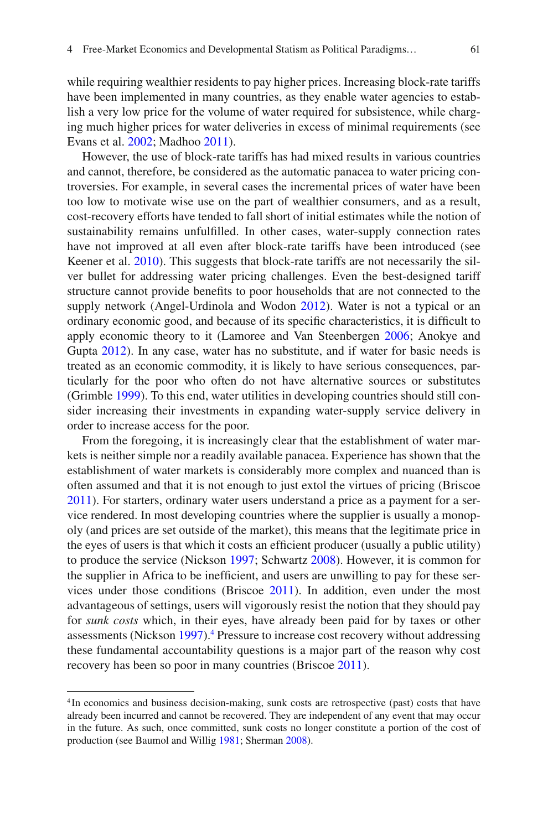while requiring wealthier residents to pay higher prices. Increasing block-rate tariffs have been implemented in many countries, as they enable water agencies to establish a very low price for the volume of water required for subsistence, while charging much higher prices for water deliveries in excess of minimal requirements (see Evans et al. [2002](#page-24-0); Madhoo 2011).

 However, the use of block-rate tariffs has had mixed results in various countries and cannot, therefore, be considered as the automatic panacea to water pricing controversies. For example, in several cases the incremental prices of water have been too low to motivate wise use on the part of wealthier consumers, and as a result, cost-recovery efforts have tended to fall short of initial estimates while the notion of sustainability remains unfulfilled. In other cases, water-supply connection rates have not improved at all even after block-rate tariffs have been introduced (see Keener et al. [2010](#page-25-0)). This suggests that block-rate tariffs are not necessarily the silver bullet for addressing water pricing challenges. Even the best-designed tariff structure cannot provide benefits to poor households that are not connected to the supply network (Angel-Urdinola and Wodon [2012](#page-22-0)). Water is not a typical or an ordinary economic good, and because of its specific characteristics, it is difficult to apply economic theory to it (Lamoree and Van Steenbergen 2006; Anokye and Gupta 2012). In any case, water has no substitute, and if water for basic needs is treated as an economic commodity, it is likely to have serious consequences, particularly for the poor who often do not have alternative sources or substitutes (Grimble 1999). To this end, water utilities in developing countries should still consider increasing their investments in expanding water-supply service delivery in order to increase access for the poor.

 From the foregoing, it is increasingly clear that the establishment of water markets is neither simple nor a readily available panacea. Experience has shown that the establishment of water markets is considerably more complex and nuanced than is often assumed and that it is not enough to just extol the virtues of pricing (Briscoe 2011). For starters, ordinary water users understand a price as a payment for a service rendered. In most developing countries where the supplier is usually a monopoly (and prices are set outside of the market), this means that the legitimate price in the eyes of users is that which it costs an efficient producer (usually a public utility) to produce the service (Nickson [1997](#page-26-0); Schwartz [2008](#page-27-0)). However, it is common for the supplier in Africa to be inefficient, and users are unwilling to pay for these ser-vices under those conditions (Briscoe [2011](#page-23-0)). In addition, even under the most advantageous of settings, users will vigorously resist the notion that they should pay for *sunk costs* which, in their eyes, have already been paid for by taxes or other assessments (Nickson [1997](#page-26-0)).<sup>4</sup> Pressure to increase cost recovery without addressing these fundamental accountability questions is a major part of the reason why cost recovery has been so poor in many countries (Briscoe 2011).

<sup>4</sup> In economics and business decision-making, sunk costs are retrospective (past) costs that have already been incurred and cannot be recovered. They are independent of any event that may occur in the future. As such, once committed, sunk costs no longer constitute a portion of the cost of production (see Baumol and Willig 1981; Sherman [2008](#page-27-0)).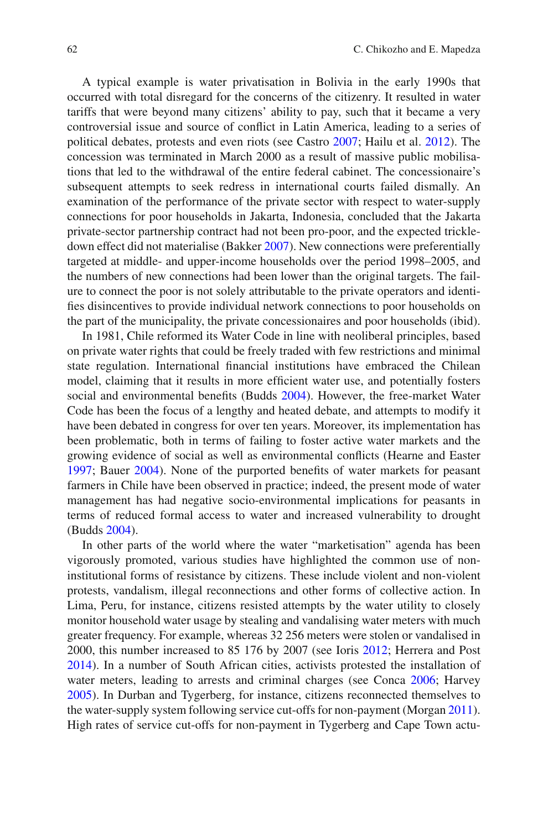A typical example is water privatisation in Bolivia in the early 1990s that occurred with total disregard for the concerns of the citizenry. It resulted in water tariffs that were beyond many citizens' ability to pay, such that it became a very controversial issue and source of conflict in Latin America, leading to a series of political debates, protests and even riots (see Castro [2007](#page-23-0) ; Hailu et al. [2012](#page-24-0) ). The concession was terminated in March 2000 as a result of massive public mobilisations that led to the withdrawal of the entire federal cabinet. The concessionaire's subsequent attempts to seek redress in international courts failed dismally. An examination of the performance of the private sector with respect to water-supply connections for poor households in Jakarta, Indonesia, concluded that the Jakarta private-sector partnership contract had not been pro-poor, and the expected trickledown effect did not materialise (Bakker 2007). New connections were preferentially targeted at middle- and upper-income households over the period 1998–2005, and the numbers of new connections had been lower than the original targets. The failure to connect the poor is not solely attributable to the private operators and identifies disincentives to provide individual network connections to poor households on the part of the municipality, the private concessionaires and poor households (ibid).

 In 1981, Chile reformed its Water Code in line with neoliberal principles, based on private water rights that could be freely traded with few restrictions and minimal state regulation. International financial institutions have embraced the Chilean model, claiming that it results in more efficient water use, and potentially fosters social and environmental benefits (Budds 2004). However, the free-market Water Code has been the focus of a lengthy and heated debate, and attempts to modify it have been debated in congress for over ten years. Moreover, its implementation has been problematic, both in terms of failing to foster active water markets and the growing evidence of social as well as environmental conflicts (Hearne and Easter 1997; Bauer 2004). None of the purported benefits of water markets for peasant farmers in Chile have been observed in practice; indeed, the present mode of water management has had negative socio-environmental implications for peasants in terms of reduced formal access to water and increased vulnerability to drought (Budds [2004](#page-23-0)).

 In other parts of the world where the water "marketisation" agenda has been vigorously promoted, various studies have highlighted the common use of noninstitutional forms of resistance by citizens. These include violent and non-violent protests, vandalism, illegal reconnections and other forms of collective action. In Lima, Peru, for instance, citizens resisted attempts by the water utility to closely monitor household water usage by stealing and vandalising water meters with much greater frequency. For example, whereas 32 256 meters were stolen or vandalised in 2000, this number increased to 85 176 by 2007 (see Ioris [2012](#page-25-0); Herrera and Post [2014 \)](#page-25-0). In a number of South African cities, activists protested the installation of water meters, leading to arrests and criminal charges (see Conca [2006](#page-23-0); Harvey [2005 \)](#page-25-0). In Durban and Tygerberg, for instance, citizens reconnected themselves to the water-supply system following service cut-offs for non-payment (Morgan [2011 \)](#page-26-0). High rates of service cut-offs for non-payment in Tygerberg and Cape Town actu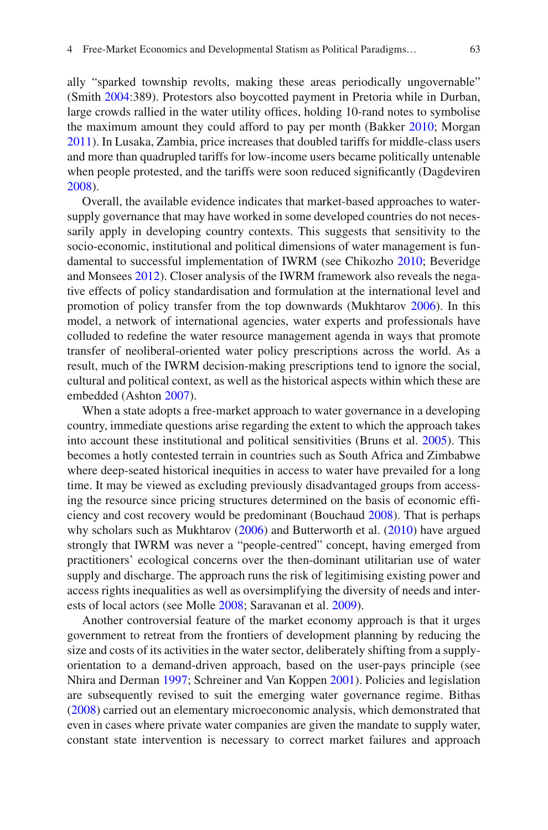ally "sparked township revolts, making these areas periodically ungovernable" (Smith 2004:389). Protestors also boycotted payment in Pretoria while in Durban, large crowds rallied in the water utility offices, holding 10-rand notes to symbolise the maximum amount they could afford to pay per month (Bakker [2010](#page-22-0); Morgan [2011 \)](#page-26-0). In Lusaka, Zambia, price increases that doubled tariffs for middle-class users and more than quadrupled tariffs for low-income users became politically untenable when people protested, and the tariffs were soon reduced significantly (Dagdeviren 2008).

 Overall, the available evidence indicates that market-based approaches to watersupply governance that may have worked in some developed countries do not necessarily apply in developing country contexts. This suggests that sensitivity to the socio-economic, institutional and political dimensions of water management is fundamental to successful implementation of IWRM (see Chikozho 2010; Beveridge and Monsees [2012](#page-22-0)). Closer analysis of the IWRM framework also reveals the negative effects of policy standardisation and formulation at the international level and promotion of policy transfer from the top downwards (Mukhtarov 2006). In this model, a network of international agencies, water experts and professionals have colluded to redefine the water resource management agenda in ways that promote transfer of neoliberal-oriented water policy prescriptions across the world. As a result, much of the IWRM decision-making prescriptions tend to ignore the social, cultural and political context, as well as the historical aspects within which these are embedded (Ashton [2007](#page-22-0)).

 When a state adopts a free-market approach to water governance in a developing country, immediate questions arise regarding the extent to which the approach takes into account these institutional and political sensitivities (Bruns et al. [2005 \)](#page-23-0). This becomes a hotly contested terrain in countries such as South Africa and Zimbabwe where deep-seated historical inequities in access to water have prevailed for a long time. It may be viewed as excluding previously disadvantaged groups from accessing the resource since pricing structures determined on the basis of economic effi-ciency and cost recovery would be predominant (Bouchaud [2008](#page-23-0)). That is perhaps why scholars such as Mukhtarov  $(2006)$  and Butterworth et al.  $(2010)$  have argued strongly that IWRM was never a "people-centred" concept, having emerged from practitioners' ecological concerns over the then-dominant utilitarian use of water supply and discharge. The approach runs the risk of legitimising existing power and access rights inequalities as well as oversimplifying the diversity of needs and inter-ests of local actors (see Molle [2008](#page-26-0); Saravanan et al. [2009](#page-27-0)).

 Another controversial feature of the market economy approach is that it urges government to retreat from the frontiers of development planning by reducing the size and costs of its activities in the water sector, deliberately shifting from a supplyorientation to a demand-driven approach, based on the user-pays principle (see Nhira and Derman [1997](#page-26-0) ; Schreiner and Van Koppen [2001 \)](#page-27-0). Policies and legislation are subsequently revised to suit the emerging water governance regime. Bithas [\( 2008](#page-23-0) ) carried out an elementary microeconomic analysis, which demonstrated that even in cases where private water companies are given the mandate to supply water, constant state intervention is necessary to correct market failures and approach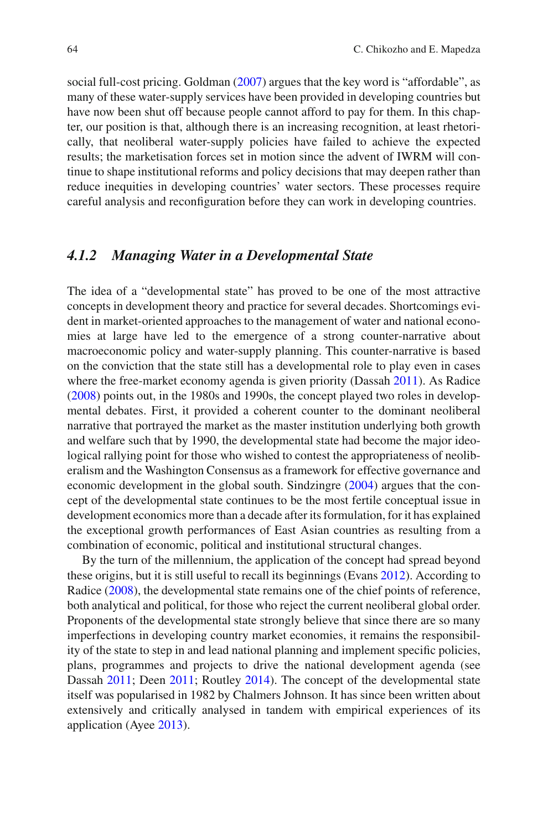social full-cost pricing. Goldman  $(2007)$  argues that the key word is "affordable", as many of these water-supply services have been provided in developing countries but have now been shut off because people cannot afford to pay for them. In this chapter, our position is that, although there is an increasing recognition, at least rhetorically, that neoliberal water-supply policies have failed to achieve the expected results; the marketisation forces set in motion since the advent of IWRM will continue to shape institutional reforms and policy decisions that may deepen rather than reduce inequities in developing countries' water sectors. These processes require careful analysis and reconfiguration before they can work in developing countries.

## *4.1.2 Managing Water in a Developmental State*

 The idea of a "developmental state" has proved to be one of the most attractive concepts in development theory and practice for several decades. Shortcomings evident in market-oriented approaches to the management of water and national economies at large have led to the emergence of a strong counter-narrative about macroeconomic policy and water-supply planning. This counter-narrative is based on the conviction that the state still has a developmental role to play even in cases where the free-market economy agenda is given priority (Dassah 2011). As Radice [\( 2008](#page-26-0) ) points out, in the 1980s and 1990s, the concept played two roles in developmental debates. First, it provided a coherent counter to the dominant neoliberal narrative that portrayed the market as the master institution underlying both growth and welfare such that by 1990, the developmental state had become the major ideological rallying point for those who wished to contest the appropriateness of neoliberalism and the Washington Consensus as a framework for effective governance and economic development in the global south. Sindzingre (2004) argues that the concept of the developmental state continues to be the most fertile conceptual issue in development economics more than a decade after its formulation, for it has explained the exceptional growth performances of East Asian countries as resulting from a combination of economic, political and institutional structural changes.

 By the turn of the millennium, the application of the concept had spread beyond these origins, but it is still useful to recall its beginnings (Evans [2012](#page-24-0)). According to Radice (2008), the developmental state remains one of the chief points of reference, both analytical and political, for those who reject the current neoliberal global order. Proponents of the developmental state strongly believe that since there are so many imperfections in developing country market economies, it remains the responsibility of the state to step in and lead national planning and implement specific policies, plans, programmes and projects to drive the national development agenda (see Dassah [2011](#page-24-0); Deen 2011; Routley 2014). The concept of the developmental state itself was popularised in 1982 by Chalmers Johnson. It has since been written about extensively and critically analysed in tandem with empirical experiences of its application (Ayee 2013).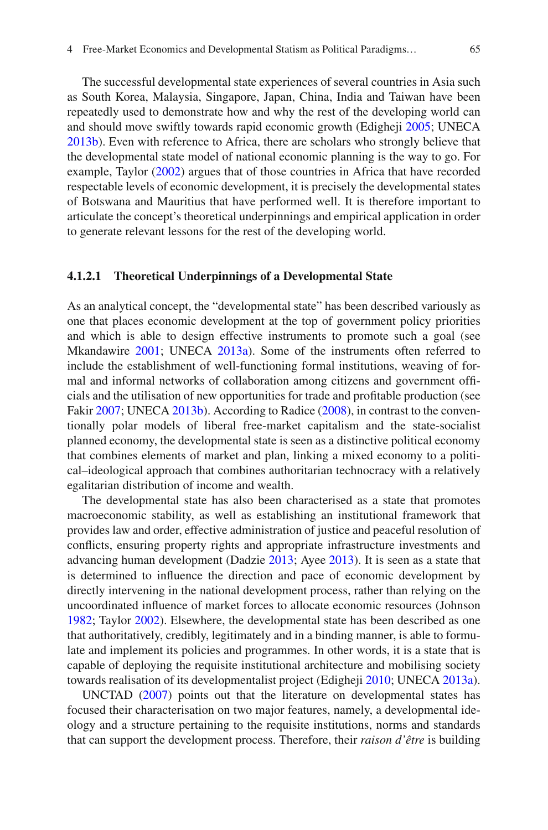The successful developmental state experiences of several countries in Asia such as South Korea, Malaysia, Singapore, Japan, China, India and Taiwan have been repeatedly used to demonstrate how and why the rest of the developing world can and should move swiftly towards rapid economic growth (Edigheji 2005; UNECA 2013b). Even with reference to Africa, there are scholars who strongly believe that the developmental state model of national economic planning is the way to go. For example, Taylor (2002) argues that of those countries in Africa that have recorded respectable levels of economic development, it is precisely the developmental states of Botswana and Mauritius that have performed well. It is therefore important to articulate the concept's theoretical underpinnings and empirical application in order to generate relevant lessons for the rest of the developing world.

#### **4.1.2.1 Theoretical Underpinnings of a Developmental State**

 As an analytical concept, the "developmental state" has been described variously as one that places economic development at the top of government policy priorities and which is able to design effective instruments to promote such a goal (see Mkandawire 2001; UNECA [2013a](#page-27-0)). Some of the instruments often referred to include the establishment of well-functioning formal institutions, weaving of formal and informal networks of collaboration among citizens and government officials and the utilisation of new opportunities for trade and profi table production (see Fakir 2007; UNECA [2013b](#page-27-0)). According to Radice  $(2008)$ , in contrast to the conventionally polar models of liberal free-market capitalism and the state-socialist planned economy, the developmental state is seen as a distinctive political economy that combines elements of market and plan, linking a mixed economy to a political–ideological approach that combines authoritarian technocracy with a relatively egalitarian distribution of income and wealth.

 The developmental state has also been characterised as a state that promotes macroeconomic stability, as well as establishing an institutional framework that provides law and order, effective administration of justice and peaceful resolution of conflicts, ensuring property rights and appropriate infrastructure investments and advancing human development (Dadzie [2013 ;](#page-23-0) Ayee [2013](#page-22-0) ). It is seen as a state that is determined to influence the direction and pace of economic development by directly intervening in the national development process, rather than relying on the uncoordinated influence of market forces to allocate economic resources (Johnson 1982; Taylor [2002](#page-27-0)). Elsewhere, the developmental state has been described as one that authoritatively, credibly, legitimately and in a binding manner, is able to formulate and implement its policies and programmes. In other words, it is a state that is capable of deploying the requisite institutional architecture and mobilising society towards realisation of its developmentalist project (Edigheji [2010](#page-24-0); UNECA 2013a).

UNCTAD  $(2007)$  points out that the literature on developmental states has focused their characterisation on two major features, namely, a developmental ideology and a structure pertaining to the requisite institutions, norms and standards that can support the development process. Therefore, their *raison d'être* is building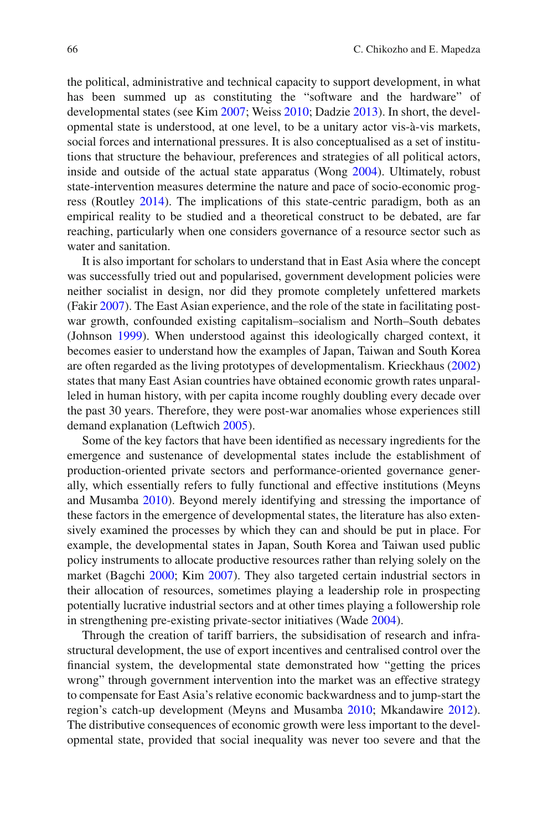the political, administrative and technical capacity to support development, in what has been summed up as constituting the "software and the hardware" of developmental states (see Kim [2007](#page-25-0); Weiss 2010; Dadzie [2013](#page-23-0)). In short, the developmental state is understood, at one level, to be a unitary actor vis-à-vis markets, social forces and international pressures. It is also conceptualised as a set of institutions that structure the behaviour, preferences and strategies of all political actors, inside and outside of the actual state apparatus (Wong 2004). Ultimately, robust state- intervention measures determine the nature and pace of socio-economic prog-ress (Routley [2014](#page-27-0)). The implications of this state-centric paradigm, both as an empirical reality to be studied and a theoretical construct to be debated, are far reaching, particularly when one considers governance of a resource sector such as water and sanitation.

 It is also important for scholars to understand that in East Asia where the concept was successfully tried out and popularised, government development policies were neither socialist in design, nor did they promote completely unfettered markets (Fakir [2007](#page-24-0)). The East Asian experience, and the role of the state in facilitating postwar growth, confounded existing capitalism–socialism and North–South debates (Johnson [1999](#page-25-0)). When understood against this ideologically charged context, it becomes easier to understand how the examples of Japan, Taiwan and South Korea are often regarded as the living prototypes of developmentalism. Krieckhaus [\( 2002](#page-25-0) ) states that many East Asian countries have obtained economic growth rates unparalleled in human history, with per capita income roughly doubling every decade over the past 30 years. Therefore, they were post-war anomalies whose experiences still demand explanation (Leftwich 2005).

Some of the key factors that have been identified as necessary ingredients for the emergence and sustenance of developmental states include the establishment of production-oriented private sectors and performance-oriented governance generally, which essentially refers to fully functional and effective institutions (Meyns and Musamba 2010). Beyond merely identifying and stressing the importance of these factors in the emergence of developmental states, the literature has also extensively examined the processes by which they can and should be put in place. For example, the developmental states in Japan, South Korea and Taiwan used public policy instruments to allocate productive resources rather than relying solely on the market (Bagchi 2000; Kim [2007](#page-25-0)). They also targeted certain industrial sectors in their allocation of resources, sometimes playing a leadership role in prospecting potentially lucrative industrial sectors and at other times playing a followership role in strengthening pre-existing private-sector initiatives (Wade [2004](#page-27-0)).

 Through the creation of tariff barriers, the subsidisation of research and infrastructural development, the use of export incentives and centralised control over the financial system, the developmental state demonstrated how "getting the prices wrong" through government intervention into the market was an effective strategy to compensate for East Asia's relative economic backwardness and to jump-start the region's catch-up development (Meyns and Musamba 2010; Mkandawire 2012). The distributive consequences of economic growth were less important to the developmental state, provided that social inequality was never too severe and that the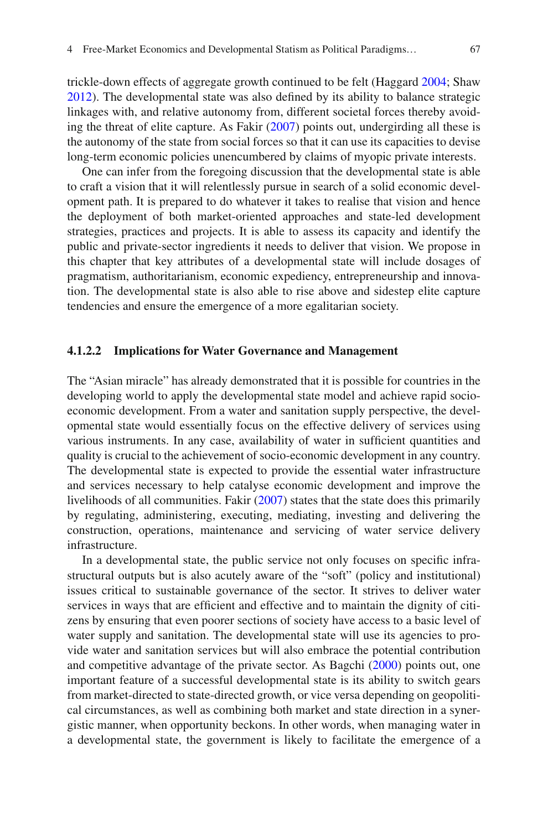trickle-down effects of aggregate growth continued to be felt (Haggard [2004](#page-24-0); Shaw  $2012$ ). The developmental state was also defined by its ability to balance strategic linkages with, and relative autonomy from, different societal forces thereby avoiding the threat of elite capture. As Fakir  $(2007)$  points out, undergirding all these is the autonomy of the state from social forces so that it can use its capacities to devise long-term economic policies unencumbered by claims of myopic private interests.

 One can infer from the foregoing discussion that the developmental state is able to craft a vision that it will relentlessly pursue in search of a solid economic development path. It is prepared to do whatever it takes to realise that vision and hence the deployment of both market-oriented approaches and state-led development strategies, practices and projects. It is able to assess its capacity and identify the public and private-sector ingredients it needs to deliver that vision. We propose in this chapter that key attributes of a developmental state will include dosages of pragmatism, authoritarianism, economic expediency, entrepreneurship and innovation. The developmental state is also able to rise above and sidestep elite capture tendencies and ensure the emergence of a more egalitarian society.

#### **4.1.2.2 Implications for Water Governance and Management**

 The "Asian miracle" has already demonstrated that it is possible for countries in the developing world to apply the developmental state model and achieve rapid socioeconomic development. From a water and sanitation supply perspective, the developmental state would essentially focus on the effective delivery of services using various instruments. In any case, availability of water in sufficient quantities and quality is crucial to the achievement of socio-economic development in any country. The developmental state is expected to provide the essential water infrastructure and services necessary to help catalyse economic development and improve the livelihoods of all communities. Fakir  $(2007)$  states that the state does this primarily by regulating, administering, executing, mediating, investing and delivering the construction, operations, maintenance and servicing of water service delivery infrastructure.

In a developmental state, the public service not only focuses on specific infrastructural outputs but is also acutely aware of the "soft" (policy and institutional) issues critical to sustainable governance of the sector. It strives to deliver water services in ways that are efficient and effective and to maintain the dignity of citizens by ensuring that even poorer sections of society have access to a basic level of water supply and sanitation. The developmental state will use its agencies to provide water and sanitation services but will also embrace the potential contribution and competitive advantage of the private sector. As Bagchi  $(2000)$  points out, one important feature of a successful developmental state is its ability to switch gears from market-directed to state-directed growth, or vice versa depending on geopolitical circumstances, as well as combining both market and state direction in a synergistic manner, when opportunity beckons. In other words, when managing water in a developmental state, the government is likely to facilitate the emergence of a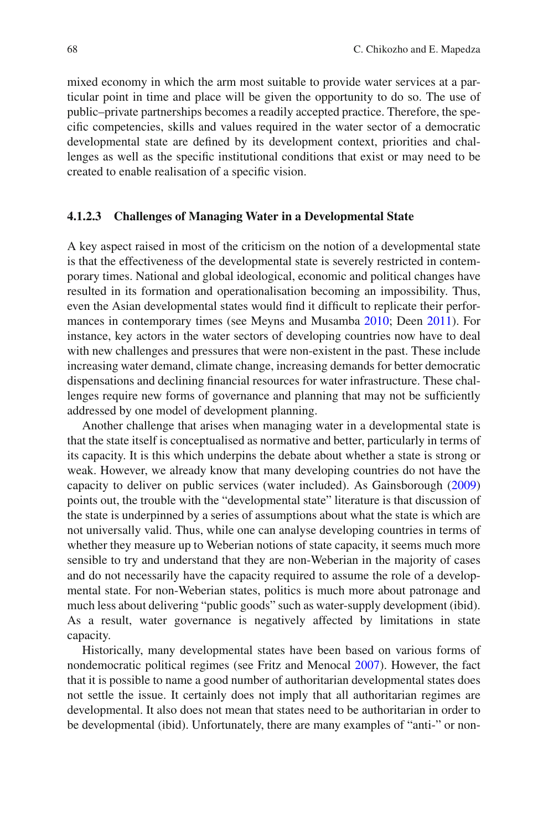mixed economy in which the arm most suitable to provide water services at a particular point in time and place will be given the opportunity to do so. The use of public–private partnerships becomes a readily accepted practice. Therefore, the specific competencies, skills and values required in the water sector of a democratic developmental state are defined by its development context, priorities and challenges as well as the specific institutional conditions that exist or may need to be created to enable realisation of a specific vision.

## **4.1.2.3 Challenges of Managing Water in a Developmental State**

 A key aspect raised in most of the criticism on the notion of a developmental state is that the effectiveness of the developmental state is severely restricted in contemporary times. National and global ideological, economic and political changes have resulted in its formation and operationalisation becoming an impossibility. Thus, even the Asian developmental states would find it difficult to replicate their perfor-mances in contemporary times (see Meyns and Musamba [2010](#page-26-0); Deen 2011). For instance, key actors in the water sectors of developing countries now have to deal with new challenges and pressures that were non-existent in the past. These include increasing water demand, climate change, increasing demands for better democratic dispensations and declining financial resources for water infrastructure. These challenges require new forms of governance and planning that may not be sufficiently addressed by one model of development planning.

 Another challenge that arises when managing water in a developmental state is that the state itself is conceptualised as normative and better, particularly in terms of its capacity. It is this which underpins the debate about whether a state is strong or weak. However, we already know that many developing countries do not have the capacity to deliver on public services (water included). As Gainsborough (2009) points out, the trouble with the "developmental state" literature is that discussion of the state is underpinned by a series of assumptions about what the state is which are not universally valid. Thus, while one can analyse developing countries in terms of whether they measure up to Weberian notions of state capacity, it seems much more sensible to try and understand that they are non-Weberian in the majority of cases and do not necessarily have the capacity required to assume the role of a developmental state. For non-Weberian states, politics is much more about patronage and much less about delivering "public goods" such as water-supply development (ibid). As a result, water governance is negatively affected by limitations in state capacity.

 Historically, many developmental states have been based on various forms of nondemocratic political regimes (see Fritz and Menocal 2007). However, the fact that it is possible to name a good number of authoritarian developmental states does not settle the issue. It certainly does not imply that all authoritarian regimes are developmental. It also does not mean that states need to be authoritarian in order to be developmental (ibid). Unfortunately, there are many examples of "anti-" or non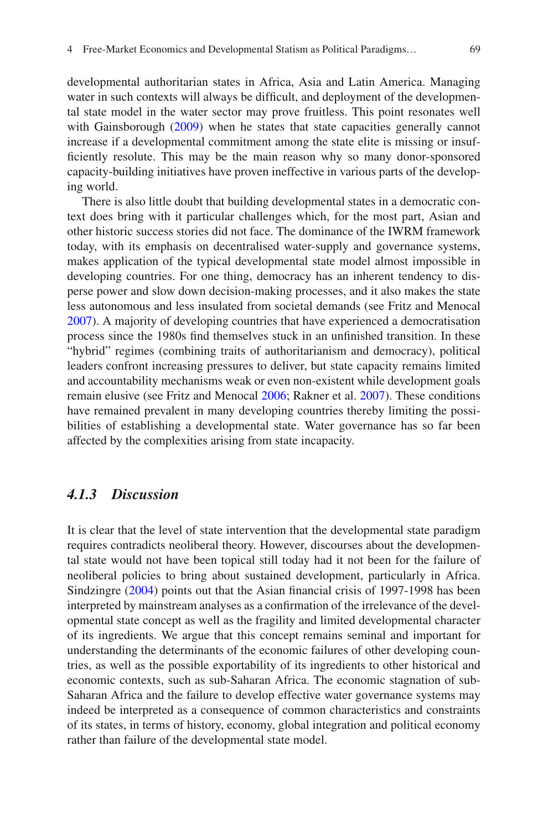developmental authoritarian states in Africa, Asia and Latin America. Managing water in such contexts will always be difficult, and deployment of the developmental state model in the water sector may prove fruitless. This point resonates well with Gainsborough  $(2009)$  when he states that state capacities generally cannot increase if a developmental commitment among the state elite is missing or insufficiently resolute. This may be the main reason why so many donor-sponsored capacity-building initiatives have proven ineffective in various parts of the developing world.

 There is also little doubt that building developmental states in a democratic context does bring with it particular challenges which, for the most part, Asian and other historic success stories did not face. The dominance of the IWRM framework today, with its emphasis on decentralised water-supply and governance systems, makes application of the typical developmental state model almost impossible in developing countries. For one thing, democracy has an inherent tendency to disperse power and slow down decision-making processes, and it also makes the state less autonomous and less insulated from societal demands (see Fritz and Menocal [2007 \)](#page-24-0). A majority of developing countries that have experienced a democratisation process since the 1980s find themselves stuck in an unfinished transition. In these "hybrid" regimes (combining traits of authoritarianism and democracy), political leaders confront increasing pressures to deliver, but state capacity remains limited and accountability mechanisms weak or even non-existent while development goals remain elusive (see Fritz and Menocal [2006 ;](#page-24-0) Rakner et al. [2007 \)](#page-26-0). These conditions have remained prevalent in many developing countries thereby limiting the possibilities of establishing a developmental state. Water governance has so far been affected by the complexities arising from state incapacity.

## *4.1.3 Discussion*

 It is clear that the level of state intervention that the developmental state paradigm requires contradicts neoliberal theory. However, discourses about the developmental state would not have been topical still today had it not been for the failure of neoliberal policies to bring about sustained development, particularly in Africa. Sindzingre  $(2004)$  points out that the Asian financial crisis of 1997-1998 has been interpreted by mainstream analyses as a confirmation of the irrelevance of the developmental state concept as well as the fragility and limited developmental character of its ingredients. We argue that this concept remains seminal and important for understanding the determinants of the economic failures of other developing countries, as well as the possible exportability of its ingredients to other historical and economic contexts, such as sub-Saharan Africa. The economic stagnation of sub-Saharan Africa and the failure to develop effective water governance systems may indeed be interpreted as a consequence of common characteristics and constraints of its states, in terms of history, economy, global integration and political economy rather than failure of the developmental state model.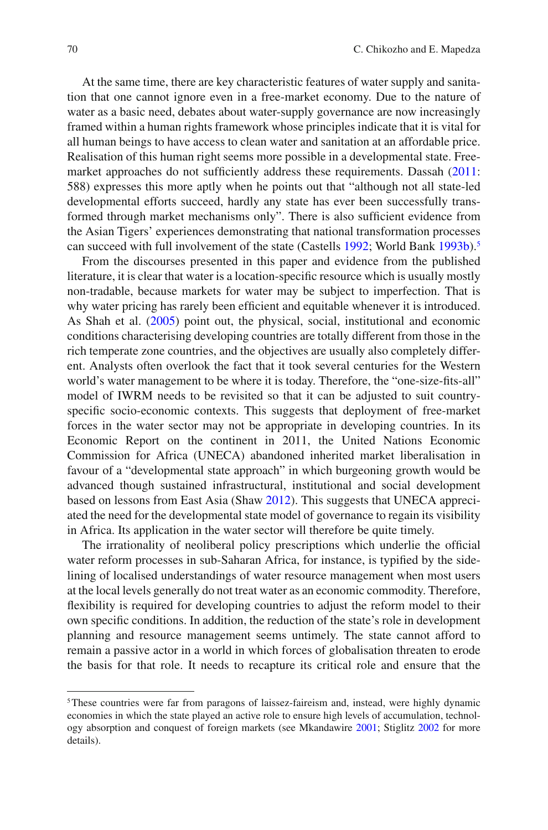At the same time, there are key characteristic features of water supply and sanitation that one cannot ignore even in a free-market economy. Due to the nature of water as a basic need, debates about water-supply governance are now increasingly framed within a human rights framework whose principles indicate that it is vital for all human beings to have access to clean water and sanitation at an affordable price. Realisation of this human right seems more possible in a developmental state. Freemarket approaches do not sufficiently address these requirements. Dassah (2011: 588) expresses this more aptly when he points out that "although not all state-led developmental efforts succeed, hardly any state has ever been successfully transformed through market mechanisms only". There is also sufficient evidence from the Asian Tigers' experiences demonstrating that national transformation processes can succeed with full involvement of the state (Castells 1992; World Bank 1993b).<sup>5</sup>

 From the discourses presented in this paper and evidence from the published literature, it is clear that water is a location-specific resource which is usually mostly non-tradable, because markets for water may be subject to imperfection. That is why water pricing has rarely been efficient and equitable whenever it is introduced. As Shah et al. (2005) point out, the physical, social, institutional and economic conditions characterising developing countries are totally different from those in the rich temperate zone countries, and the objectives are usually also completely different. Analysts often overlook the fact that it took several centuries for the Western world's water management to be where it is today. Therefore, the "one-size-fits-all" model of IWRM needs to be revisited so that it can be adjusted to suit countryspecific socio-economic contexts. This suggests that deployment of free-market forces in the water sector may not be appropriate in developing countries. In its Economic Report on the continent in 2011, the United Nations Economic Commission for Africa (UNECA) abandoned inherited market liberalisation in favour of a "developmental state approach" in which burgeoning growth would be advanced though sustained infrastructural, institutional and social development based on lessons from East Asia (Shaw [2012](#page-27-0)). This suggests that UNECA appreciated the need for the developmental state model of governance to regain its visibility in Africa. Its application in the water sector will therefore be quite timely.

The irrationality of neoliberal policy prescriptions which underlie the official water reform processes in sub-Saharan Africa, for instance, is typified by the sidelining of localised understandings of water resource management when most users at the local levels generally do not treat water as an economic commodity. Therefore, flexibility is required for developing countries to adjust the reform model to their own specific conditions. In addition, the reduction of the state's role in development planning and resource management seems untimely. The state cannot afford to remain a passive actor in a world in which forces of globalisation threaten to erode the basis for that role. It needs to recapture its critical role and ensure that the

<sup>5</sup> These countries were far from paragons of laissez-faireism and, instead, were highly dynamic economies in which the state played an active role to ensure high levels of accumulation, technol-ogy absorption and conquest of foreign markets (see Mkandawire 2001; Stiglitz [2002](#page-27-0) for more details).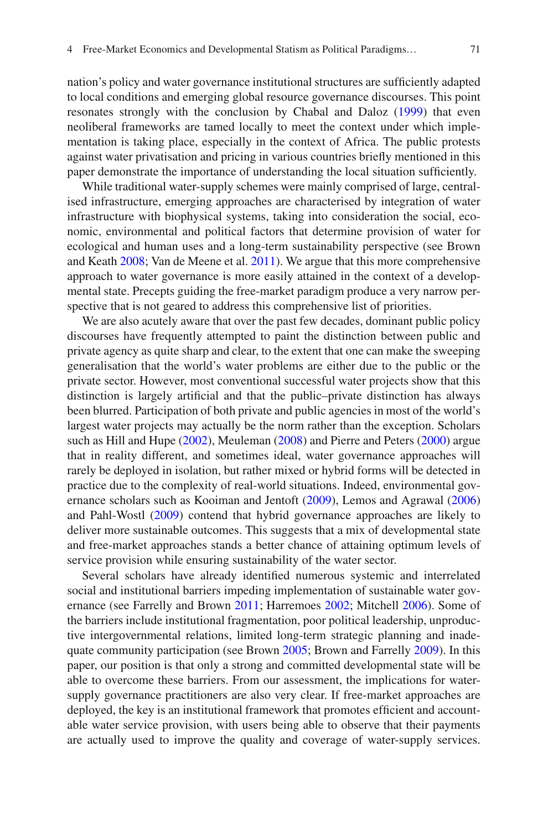nation's policy and water governance institutional structures are sufficiently adapted to local conditions and emerging global resource governance discourses. This point resonates strongly with the conclusion by Chabal and Daloz (1999) that even neoliberal frameworks are tamed locally to meet the context under which implementation is taking place, especially in the context of Africa. The public protests against water privatisation and pricing in various countries briefly mentioned in this paper demonstrate the importance of understanding the local situation sufficiently.

 While traditional water-supply schemes were mainly comprised of large, centralised infrastructure, emerging approaches are characterised by integration of water infrastructure with biophysical systems, taking into consideration the social, economic, environmental and political factors that determine provision of water for ecological and human uses and a long-term sustainability perspective (see Brown and Keath [2008](#page-23-0); Van de Meene et al. [2011](#page-27-0)). We argue that this more comprehensive approach to water governance is more easily attained in the context of a developmental state. Precepts guiding the free-market paradigm produce a very narrow perspective that is not geared to address this comprehensive list of priorities.

 We are also acutely aware that over the past few decades, dominant public policy discourses have frequently attempted to paint the distinction between public and private agency as quite sharp and clear, to the extent that one can make the sweeping generalisation that the world's water problems are either due to the public or the private sector. However, most conventional successful water projects show that this distinction is largely artificial and that the public–private distinction has always been blurred. Participation of both private and public agencies in most of the world's largest water projects may actually be the norm rather than the exception. Scholars such as Hill and Hupe  $(2002)$ , Meuleman  $(2008)$  and Pierre and Peters  $(2000)$  argue that in reality different, and sometimes ideal, water governance approaches will rarely be deployed in isolation, but rather mixed or hybrid forms will be detected in practice due to the complexity of real-world situations. Indeed, environmental governance scholars such as Kooiman and Jentoft (2009), Lemos and Agrawal (2006) and Pahl-Wostl (2009) contend that hybrid governance approaches are likely to deliver more sustainable outcomes. This suggests that a mix of developmental state and free-market approaches stands a better chance of attaining optimum levels of service provision while ensuring sustainability of the water sector.

Several scholars have already identified numerous systemic and interrelated social and institutional barriers impeding implementation of sustainable water gov-ernance (see Farrelly and Brown [2011](#page-24-0); Harremoes 2002; Mitchell 2006). Some of the barriers include institutional fragmentation, poor political leadership, unproductive intergovernmental relations, limited long-term strategic planning and inade-quate community participation (see Brown 2005; Brown and Farrelly [2009](#page-23-0)). In this paper, our position is that only a strong and committed developmental state will be able to overcome these barriers. From our assessment, the implications for watersupply governance practitioners are also very clear. If free-market approaches are deployed, the key is an institutional framework that promotes efficient and accountable water service provision, with users being able to observe that their payments are actually used to improve the quality and coverage of water-supply services.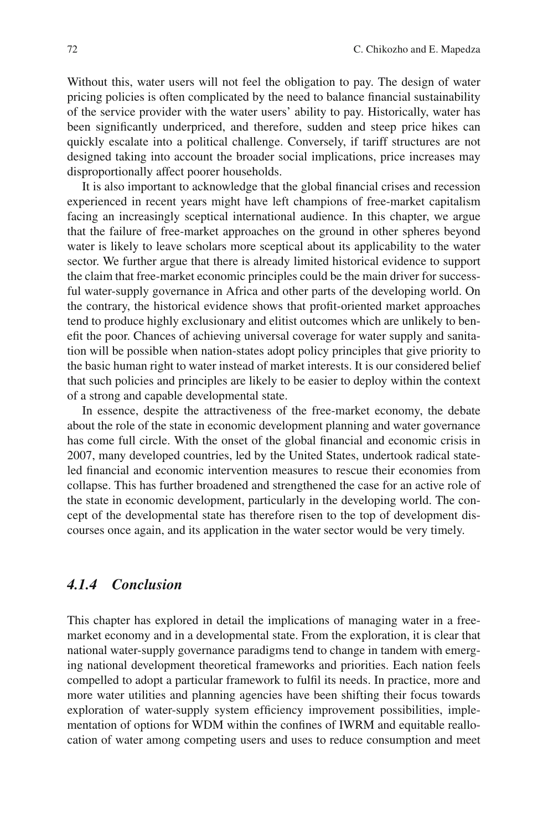Without this, water users will not feel the obligation to pay. The design of water pricing policies is often complicated by the need to balance financial sustainability of the service provider with the water users' ability to pay. Historically, water has been significantly underpriced, and therefore, sudden and steep price hikes can quickly escalate into a political challenge. Conversely, if tariff structures are not designed taking into account the broader social implications, price increases may disproportionally affect poorer households.

It is also important to acknowledge that the global financial crises and recession experienced in recent years might have left champions of free-market capitalism facing an increasingly sceptical international audience. In this chapter, we argue that the failure of free-market approaches on the ground in other spheres beyond water is likely to leave scholars more sceptical about its applicability to the water sector. We further argue that there is already limited historical evidence to support the claim that free-market economic principles could be the main driver for successful water-supply governance in Africa and other parts of the developing world. On the contrary, the historical evidence shows that profit-oriented market approaches tend to produce highly exclusionary and elitist outcomes which are unlikely to benefit the poor. Chances of achieving universal coverage for water supply and sanitation will be possible when nation-states adopt policy principles that give priority to the basic human right to water instead of market interests. It is our considered belief that such policies and principles are likely to be easier to deploy within the context of a strong and capable developmental state.

 In essence, despite the attractiveness of the free-market economy, the debate about the role of the state in economic development planning and water governance has come full circle. With the onset of the global financial and economic crisis in 2007, many developed countries, led by the United States, undertook radical stateled financial and economic intervention measures to rescue their economies from collapse. This has further broadened and strengthened the case for an active role of the state in economic development, particularly in the developing world. The concept of the developmental state has therefore risen to the top of development discourses once again, and its application in the water sector would be very timely.

## *4.1.4 Conclusion*

 This chapter has explored in detail the implications of managing water in a freemarket economy and in a developmental state. From the exploration, it is clear that national water-supply governance paradigms tend to change in tandem with emerging national development theoretical frameworks and priorities. Each nation feels compelled to adopt a particular framework to fulfil its needs. In practice, more and more water utilities and planning agencies have been shifting their focus towards exploration of water-supply system efficiency improvement possibilities, implementation of options for WDM within the confines of IWRM and equitable reallocation of water among competing users and uses to reduce consumption and meet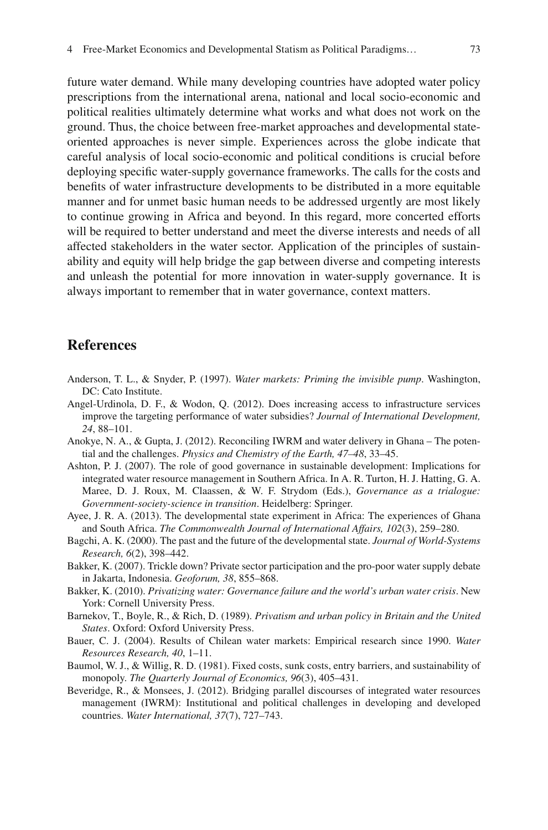<span id="page-22-0"></span>future water demand. While many developing countries have adopted water policy prescriptions from the international arena, national and local socio-economic and political realities ultimately determine what works and what does not work on the ground. Thus, the choice between free-market approaches and developmental stateoriented approaches is never simple. Experiences across the globe indicate that careful analysis of local socio-economic and political conditions is crucial before deploying specific water-supply governance frameworks. The calls for the costs and benefits of water infrastructure developments to be distributed in a more equitable manner and for unmet basic human needs to be addressed urgently are most likely to continue growing in Africa and beyond. In this regard, more concerted efforts will be required to better understand and meet the diverse interests and needs of all affected stakeholders in the water sector. Application of the principles of sustainability and equity will help bridge the gap between diverse and competing interests and unleash the potential for more innovation in water-supply governance. It is always important to remember that in water governance, context matters.

## **References**

- Anderson, T. L., & Snyder, P. (1997). *Water markets: Priming the invisible pump* . Washington, DC: Cato Institute.
- Angel-Urdinola, D. F., & Wodon, Q. (2012). Does increasing access to infrastructure services improve the targeting performance of water subsidies? *Journal of International Development, 24* , 88–101.
- Anokye, N. A., & Gupta, J. (2012). Reconciling IWRM and water delivery in Ghana The potential and the challenges. *Physics and Chemistry of the Earth, 47–48* , 33–45.
- Ashton, P. J. (2007). The role of good governance in sustainable development: Implications for integrated water resource management in Southern Africa. In A. R. Turton, H. J. Hatting, G. A. Maree, D. J. Roux, M. Claassen, & W. F. Strydom (Eds.), *Governance as a trialogue: Government-society-science in transition* . Heidelberg: Springer.
- Ayee, J. R. A. (2013). The developmental state experiment in Africa: The experiences of Ghana and South Africa. *The Commonwealth Journal of International Affairs, 102* (3), 259–280.
- Bagchi, A. K. (2000). The past and the future of the developmental state. *Journal of World-Systems Research, 6* (2), 398–442.
- Bakker, K. (2007). Trickle down? Private sector participation and the pro-poor water supply debate in Jakarta, Indonesia. *Geoforum, 38* , 855–868.
- Bakker, K. (2010). *Privatizing water: Governance failure and the world's urban water crisis* . New York: Cornell University Press.
- Barnekov, T., Boyle, R., & Rich, D. (1989). *Privatism and urban policy in Britain and the United States* . Oxford: Oxford University Press.
- Bauer, C. J. (2004). Results of Chilean water markets: Empirical research since 1990. *Water Resources Research, 40* , 1–11.
- Baumol, W. J., & Willig, R. D. (1981). Fixed costs, sunk costs, entry barriers, and sustainability of monopoly. *The Quarterly Journal of Economics*, 96(3), 405–431.
- Beveridge, R., & Monsees, J. (2012). Bridging parallel discourses of integrated water resources management (IWRM): Institutional and political challenges in developing and developed countries. *Water International, 37(7), 727-743.*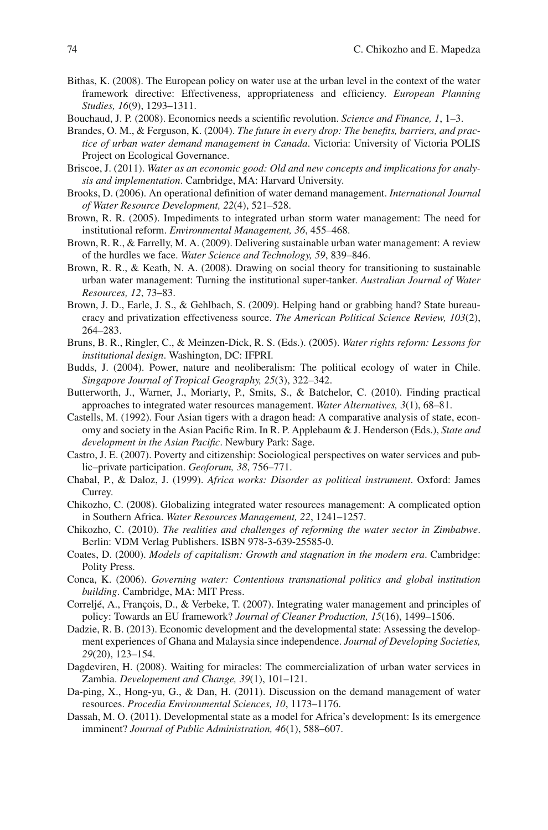- <span id="page-23-0"></span> Bithas, K. (2008). The European policy on water use at the urban level in the context of the water framework directive: Effectiveness, appropriateness and efficiency. *European Planning Studies, 16* (9), 1293–1311.
- Bouchaud, J. P. (2008). Economics needs a scientific revolution. *Science and Finance, 1*, 1–3.
- Brandes, O. M., & Ferguson, K. (2004). *The future in every drop: The benefits, barriers, and practice of urban water demand management in Canada* . Victoria: University of Victoria POLIS Project on Ecological Governance.
- Briscoe, J. (2011). *Water as an economic good: Old and new concepts and implications for analysis and implementation* . Cambridge, MA: Harvard University.
- Brooks, D. (2006). An operational definition of water demand management. *International Journal of Water Resource Development, 22* (4), 521–528.
- Brown, R. R. (2005). Impediments to integrated urban storm water management: The need for institutional reform. *Environmental Management, 36* , 455–468.
- Brown, R. R., & Farrelly, M. A. (2009). Delivering sustainable urban water management: A review of the hurdles we face. *Water Science and Technology, 59* , 839–846.
- Brown, R. R., & Keath, N. A. (2008). Drawing on social theory for transitioning to sustainable urban water management: Turning the institutional super-tanker. *Australian Journal of Water Resources, 12* , 73–83.
- Brown, J. D., Earle, J. S., & Gehlbach, S. (2009). Helping hand or grabbing hand? State bureaucracy and privatization effectiveness source. *The American Political Science Review, 103(2)*, 264–283.
- Bruns, B. R., Ringler, C., & Meinzen-Dick, R. S. (Eds.). (2005). *Water rights reform: Lessons for institutional design* . Washington, DC: IFPRI.
- Budds, J. (2004). Power, nature and neoliberalism: The political ecology of water in Chile. *Singapore Journal of Tropical Geography, 25* (3), 322–342.
- Butterworth, J., Warner, J., Moriarty, P., Smits, S., & Batchelor, C. (2010). Finding practical approaches to integrated water resources management. *Water Alternatives, 3* (1), 68–81.
- Castells, M. (1992). Four Asian tigers with a dragon head: A comparative analysis of state, economy and society in the Asian Pacific Rim. In R. P. Applebaum & J. Henderson (Eds.), *State and development in the Asian Pacific*. Newbury Park: Sage.
- Castro, J. E. (2007). Poverty and citizenship: Sociological perspectives on water services and public–private participation. *Geoforum, 38* , 756–771.
- Chabal, P., & Daloz, J. (1999). *Africa works: Disorder as political instrument* . Oxford: James Currey.
- Chikozho, C. (2008). Globalizing integrated water resources management: A complicated option in Southern Africa. *Water Resources Management, 22* , 1241–1257.
- Chikozho, C. (2010). *The realities and challenges of reforming the water sector in Zimbabwe* . Berlin: VDM Verlag Publishers. ISBN 978-3-639-25585-0.
- Coates, D. (2000). *Models of capitalism: Growth and stagnation in the modern era* . Cambridge: Polity Press.
- Conca, K. (2006). *Governing water: Contentious transnational politics and global institution building* . Cambridge, MA: MIT Press.
- Correljé, A., François, D., & Verbeke, T. (2007). Integrating water management and principles of policy: Towards an EU framework? *Journal of Cleaner Production, 15* (16), 1499–1506.
- Dadzie, R. B. (2013). Economic development and the developmental state: Assessing the development experiences of Ghana and Malaysia since independence. *Journal of Developing Societies, 29* (20), 123–154.
- Dagdeviren, H. (2008). Waiting for miracles: The commercialization of urban water services in Zambia. *Developement and Change*, 39(1), 101-121.
- Da-ping, X., Hong-yu, G., & Dan, H. (2011). Discussion on the demand management of water resources. *Procedia Environmental Sciences, 10* , 1173–1176.
- Dassah, M. O. (2011). Developmental state as a model for Africa's development: Is its emergence imminent? *Journal of Public Administration, 46*(1), 588-607.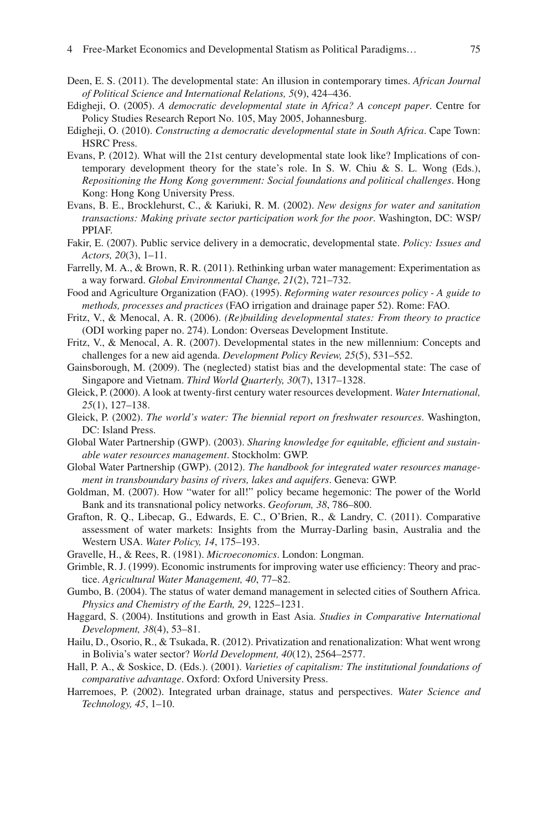- <span id="page-24-0"></span> Deen, E. S. (2011). The developmental state: An illusion in contemporary times. *African Journal of Political Science and International Relations, 5* (9), 424–436.
- Edigheji, O. (2005). *A democratic developmental state in Africa? A concept paper* . Centre for Policy Studies Research Report No. 105, May 2005, Johannesburg.
- Edigheji, O. (2010). *Constructing a democratic developmental state in South Africa* . Cape Town: HSRC Press.
- Evans, P. (2012). What will the 21st century developmental state look like? Implications of contemporary development theory for the state's role. In S. W. Chiu & S. L. Wong (Eds.), *Repositioning the Hong Kong government: Social foundations and political challenges* . Hong Kong: Hong Kong University Press.
- Evans, B. E., Brocklehurst, C., & Kariuki, R. M. (2002). *New designs for water and sanitation transactions: Making private sector participation work for the poor* . Washington, DC: WSP/ PPIAF.
- Fakir, E. (2007). Public service delivery in a democratic, developmental state. *Policy: Issues and Actors, 20*(3), 1-11.
- Farrelly, M. A., & Brown, R. R. (2011). Rethinking urban water management: Experimentation as a way forward. *Global Environmental Change, 21* (2), 721–732.
- Food and Agriculture Organization (FAO). (1995). *Reforming water resources policy A guide to methods, processes and practices* (FAO irrigation and drainage paper 52). Rome: FAO.
- Fritz, V., & Menocal, A. R. (2006). *(Re)building developmental states: From theory to practice* (ODI working paper no. 274). London: Overseas Development Institute.
- Fritz, V., & Menocal, A. R. (2007). Developmental states in the new millennium: Concepts and challenges for a new aid agenda. *Development Policy Review, 25*(5), 531–552.
- Gainsborough, M. (2009). The (neglected) statist bias and the developmental state: The case of Singapore and Vietnam. *Third World Quarterly, 30(7)*, 1317–1328.
- Gleick, P. (2000). A look at twenty-first century water resources development. *Water International*, *25* (1), 127–138.
- Gleick, P. (2002). *The world's water: The biennial report on freshwater resources* . Washington, DC: Island Press.
- Global Water Partnership (GWP). (2003). Sharing knowledge for equitable, efficient and sustain*able water resources management* . Stockholm: GWP.
- Global Water Partnership (GWP). (2012). *The handbook for integrated water resources management in transboundary basins of rivers, lakes and aquifers* . Geneva: GWP.
- Goldman, M. (2007). How "water for all!" policy became hegemonic: The power of the World Bank and its transnational policy networks. *Geoforum, 38* , 786–800.
- Grafton, R. Q., Libecap, G., Edwards, E. C., O'Brien, R., & Landry, C. (2011). Comparative assessment of water markets: Insights from the Murray-Darling basin, Australia and the Western USA. *Water Policy, 14* , 175–193.
- Gravelle, H., & Rees, R. (1981). *Microeconomics* . London: Longman.
- Grimble, R. J. (1999). Economic instruments for improving water use efficiency: Theory and practice. Agricultural Water Management, 40, 77-82.
- Gumbo, B. (2004). The status of water demand management in selected cities of Southern Africa. *Physics and Chemistry of the Earth, 29, 1225–1231.*
- Haggard, S. (2004). Institutions and growth in East Asia. *Studies in Comparative International Development, 38* (4), 53–81.
- Hailu, D., Osorio, R., & Tsukada, R. (2012). Privatization and renationalization: What went wrong in Bolivia's water sector? *World Development, 40* (12), 2564–2577.
- Hall, P. A., & Soskice, D. (Eds.). (2001). *Varieties of capitalism: The institutional foundations of comparative advantage* . Oxford: Oxford University Press.
- Harremoes, P. (2002). Integrated urban drainage, status and perspectives. *Water Science and Technology, 45* , 1–10.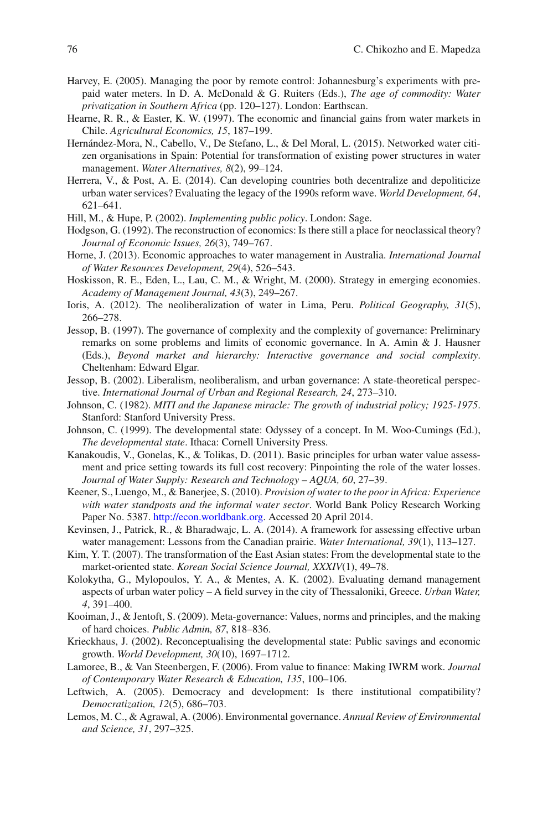- <span id="page-25-0"></span> Harvey, E. (2005). Managing the poor by remote control: Johannesburg's experiments with prepaid water meters. In D. A. McDonald & G. Ruiters (Eds.), *The age of commodity: Water privatization in Southern Africa* (pp. 120–127). London: Earthscan.
- Hearne, R. R., & Easter, K. W. (1997). The economic and financial gains from water markets in Chile. *Agricultural Economics, 15* , 187–199.
- Hernández-Mora, N., Cabello, V., De Stefano, L., & Del Moral, L. (2015). Networked water citizen organisations in Spain: Potential for transformation of existing power structures in water management. *Water Alternatives, 8* (2), 99–124.
- Herrera, V., & Post, A. E. (2014). Can developing countries both decentralize and depoliticize urban water services? Evaluating the legacy of the 1990s reform wave. *World Development, 64* , 621–641.
- Hill, M., & Hupe, P. (2002). *Implementing public policy* . London: Sage.
- Hodgson, G. (1992). The reconstruction of economics: Is there still a place for neoclassical theory? *Journal of Economic Issues, 26* (3), 749–767.
- Horne, J. (2013). Economic approaches to water management in Australia. *International Journal of Water Resources Development, 29* (4), 526–543.
- Hoskisson, R. E., Eden, L., Lau, C. M., & Wright, M. (2000). Strategy in emerging economies. *Academy of Management Journal, 43* (3), 249–267.
- Ioris, A. (2012). The neoliberalization of water in Lima, Peru. *Political Geography, 31(5)*, 266–278.
- Jessop, B. (1997). The governance of complexity and the complexity of governance: Preliminary remarks on some problems and limits of economic governance. In A. Amin & J. Hausner (Eds.), *Beyond market and hierarchy: Interactive governance and social complexity* . Cheltenham: Edward Elgar.
- Jessop, B. (2002). Liberalism, neoliberalism, and urban governance: A state-theoretical perspective. *International Journal of Urban and Regional Research*, 24, 273–310.
- Johnson, C. (1982). *MITI and the Japanese miracle: The growth of industrial policy; 1925‐1975* . Stanford: Stanford University Press.
- Johnson, C. (1999). The developmental state: Odyssey of a concept. In M. Woo-Cumings (Ed.), *The developmental state* . Ithaca: Cornell University Press.
- Kanakoudis, V., Gonelas, K., & Tolikas, D. (2011). Basic principles for urban water value assessment and price setting towards its full cost recovery: Pinpointing the role of the water losses. Journal of Water Supply: Research and Technology - AQUA, 60, 27-39.
- Keener, S., Luengo, M., & Banerjee, S. (2010). *Provision of water to the poor in Africa: Experience with water standposts and the informal water sector* . World Bank Policy Research Working Paper No. 5387. [http://econ.worldbank.org](http://econ.worldbank.org/). Accessed 20 April 2014.
- Kevinsen, J., Patrick, R., & Bharadwajc, L. A. (2014). A framework for assessing effective urban water management: Lessons from the Canadian prairie. *Water International*, 39(1), 113–127.
- Kim, Y. T. (2007). The transformation of the East Asian states: From the developmental state to the market-oriented state. *Korean Social Science Journal, XXXIV*(1), 49-78.
- Kolokytha, G., Mylopoulos, Y. A., & Mentes, A. K. (2002). Evaluating demand management aspects of urban water policy - A field survey in the city of Thessaloniki, Greece. *Urban Water*, *4* , 391–400.
- Kooiman, J., & Jentoft, S. (2009). Meta-governance: Values, norms and principles, and the making of hard choices. Public Admin, 87, 818-836.
- Krieckhaus, J. (2002). Reconceptualising the developmental state: Public savings and economic growth. *World Development, 30* (10), 1697–1712.
- Lamoree, B., & Van Steenbergen, F. (2006). From value to finance: Making IWRM work. *Journal of Contemporary Water Research & Education, 135* , 100–106.
- Leftwich, A. (2005). Democracy and development: Is there institutional compatibility? *Democratization, 12* (5), 686–703.
- Lemos, M. C., & Agrawal, A. (2006). Environmental governance. *Annual Review of Environmental and Science, 31* , 297–325.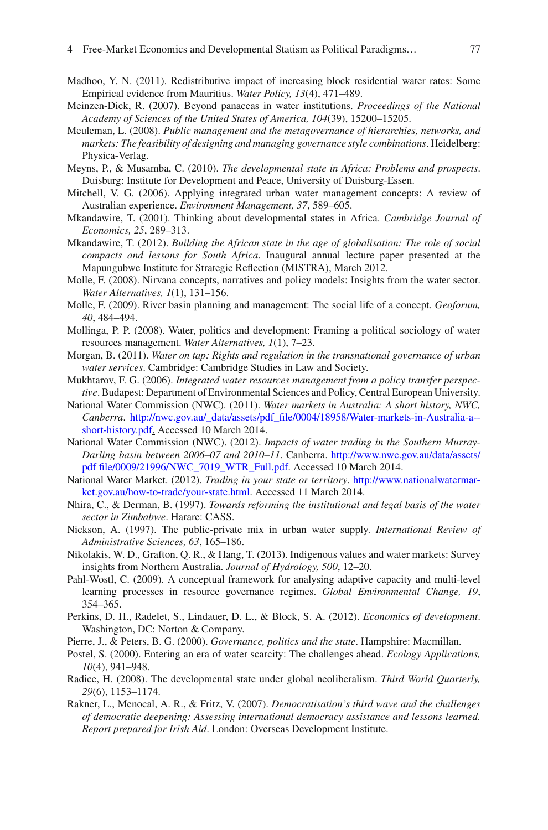- <span id="page-26-0"></span> Madhoo, Y. N. (2011). Redistributive impact of increasing block residential water rates: Some Empirical evidence from Mauritius. *Water Policy, 13* (4), 471–489.
- Meinzen-Dick, R. (2007). Beyond panaceas in water institutions. *Proceedings of the National Academy of Sciences of the United States of America, 104* (39), 15200–15205.
- Meuleman, L. (2008). *Public management and the metagovernance of hierarchies, networks, and markets: The feasibility of designing and managing governance style combinations* . Heidelberg: Physica-Verlag.
- Meyns, P., & Musamba, C. (2010). *The developmental state in Africa: Problems and prospects* . Duisburg: Institute for Development and Peace, University of Duisburg‐Essen.
- Mitchell, V. G. (2006). Applying integrated urban water management concepts: A review of Australian experience. *Environment Management, 37* , 589–605.
- Mkandawire, T. (2001). Thinking about developmental states in Africa. *Cambridge Journal of Economics, 25* , 289–313.
- Mkandawire, T. (2012). *Building the African state in the age of globalisation: The role of social compacts and lessons for South Africa* . Inaugural annual lecture paper presented at the Mapungubwe Institute for Strategic Reflection (MISTRA), March 2012.
- Molle, F. (2008). Nirvana concepts, narratives and policy models: Insights from the water sector. *Water Alternatives, 1(1), 131-156.*
- Molle, F. (2009). River basin planning and management: The social life of a concept. *Geoforum, 40* , 484–494.
- Mollinga, P. P. (2008). Water, politics and development: Framing a political sociology of water resources management. *Water Alternatives*,  $1(1)$ , 7–23.
- Morgan, B. (2011). *Water on tap: Rights and regulation in the transnational governance of urban water services* . Cambridge: Cambridge Studies in Law and Society.
- Mukhtarov, F. G. (2006). *Integrated water resources management from a policy transfer perspective* . Budapest: Department of Environmental Sciences and Policy, Central European University.
- National Water Commission (NWC). (2011). *Water markets in Australia: A short history, NWC, Canberra*. http://nwc.gov.au/\_data/assets/pdf\_file/0004/18958/Water-markets-in-Australia-a-[short-history.pdf](http://nwc.gov.au/_data/assets/pdf_file/0004/18958/Water-markets-in-Australia-a-short-history.pdf). Accessed 10 March 2014.
- National Water Commission (NWC). (2012). *Impacts of water trading in the Southern Murray-Darling basin between 2006–07 and 2010–11* . Canberra. [http://www.nwc.gov.au/data/assets/](http://www.nwc.gov.au/data/assets/pdf file/0009/21996/NWC_7019_WTR_Full.pdf) pdf file/0009/21996/NWC\_7019\_WTR\_Full.pdf. Accessed 10 March 2014.
- National Water Market. (2012). *Trading in your state or territory* . [http://www.nationalwatermar](http://www.nationalwatermarket.gov.au/how-to-trade/your-state.html)[ket.gov.au/how-to-trade/your-state.html](http://www.nationalwatermarket.gov.au/how-to-trade/your-state.html). Accessed 11 March 2014.
- Nhira, C., & Derman, B. (1997). *Towards reforming the institutional and legal basis of the water sector in Zimbabwe* . Harare: CASS.
- Nickson, A. (1997). The public-private mix in urban water supply. *International Review of Administrative Sciences, 63* , 165–186.
- Nikolakis, W. D., Grafton, Q. R., & Hang, T. (2013). Indigenous values and water markets: Survey insights from Northern Australia. *Journal of Hydrology*, 500, 12–20.
- Pahl-Wostl, C. (2009). A conceptual framework for analysing adaptive capacity and multi-level learning processes in resource governance regimes. *Global Environmental Change, 19* , 354–365.
- Perkins, D. H., Radelet, S., Lindauer, D. L., & Block, S. A. (2012). *Economics of development* . Washington, DC: Norton & Company.
- Pierre, J., & Peters, B. G. (2000). *Governance, politics and the state* . Hampshire: Macmillan.
- Postel, S. (2000). Entering an era of water scarcity: The challenges ahead. *Ecology Applications, 10* (4), 941–948.
- Radice, H. (2008). The developmental state under global neoliberalism. *Third World Quarterly, 29* (6), 1153–1174.
- Rakner, L., Menocal, A. R., & Fritz, V. (2007). *Democratisation's third wave and the challenges of democratic deepening: Assessing international democracy assistance and lessons learned. Report prepared for Irish Aid* . London: Overseas Development Institute.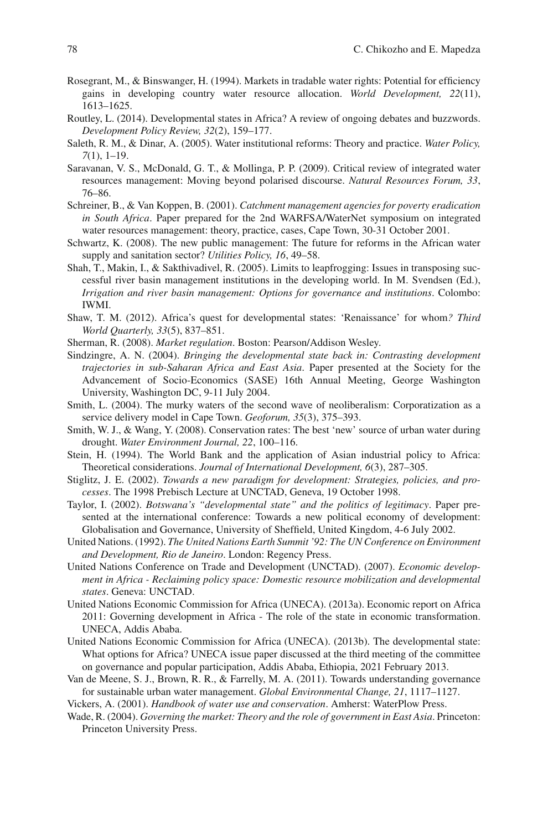- <span id="page-27-0"></span>Rosegrant, M., & Binswanger, H. (1994). Markets in tradable water rights: Potential for efficiency gains in developing country water resource allocation. *World Development, 22* (11), 1613–1625.
- Routley, L. (2014). Developmental states in Africa? A review of ongoing debates and buzzwords. *Development Policy Review, 32* (2), 159–177.
- Saleth, R. M., & Dinar, A. (2005). Water institutional reforms: Theory and practice. *Water Policy, 7* (1), 1–19.
- Saravanan, V. S., McDonald, G. T., & Mollinga, P. P. (2009). Critical review of integrated water resources management: Moving beyond polarised discourse. *Natural Resources Forum, 33* , 76–86.
- Schreiner, B., & Van Koppen, B. (2001). *Catchment management agencies for poverty eradication in South Africa* . Paper prepared for the 2nd WARFSA/WaterNet symposium on integrated water resources management: theory, practice, cases, Cape Town, 30-31 October 2001.
- Schwartz, K. (2008). The new public management: The future for reforms in the African water supply and sanitation sector? *Utilities Policy, 16*, 49-58.
- Shah, T., Makin, I., & Sakthivadivel, R. (2005). Limits to leapfrogging: Issues in transposing successful river basin management institutions in the developing world. In M. Svendsen (Ed.), *Irrigation and river basin management: Options for governance and institutions* . Colombo: IWMI.
- Shaw, T. M. (2012). Africa's quest for developmental states: 'Renaissance' for whom *? Third World Quarterly, 33* (5), 837–851.
- Sherman, R. (2008). *Market regulation*. Boston: Pearson/Addison Wesley.
- Sindzingre, A. N. (2004). *Bringing the developmental state back in: Contrasting development trajectories in sub-Saharan Africa and East Asia* . Paper presented at the Society for the Advancement of Socio-Economics (SASE) 16th Annual Meeting, George Washington University, Washington DC, 9-11 July 2004.
- Smith, L. (2004). The murky waters of the second wave of neoliberalism: Corporatization as a service delivery model in Cape Town. *Geoforum, 35* (3), 375–393.
- Smith, W. J., & Wang, Y. (2008). Conservation rates: The best 'new' source of urban water during drought. Water Environment Journal, 22, 100-116.
- Stein, H. (1994). The World Bank and the application of Asian industrial policy to Africa: Theoretical considerations. *Journal of International Development, 6* (3), 287–305.
- Stiglitz, J. E. (2002). *Towards a new paradigm for development: Strategies, policies, and processes* . The 1998 Prebisch Lecture at UNCTAD, Geneva, 19 October 1998.
- Taylor, I. (2002). *Botswana's "developmental state" and the politics of legitimacy* . Paper presented at the international conference: Towards a new political economy of development: Globalisation and Governance, University of Sheffield, United Kingdom, 4-6 July 2002.
- United Nations. (1992). *The United Nations Earth Summit '92: The UN Conference on Environment and Development, Rio de Janeiro* . London: Regency Press.
- United Nations Conference on Trade and Development (UNCTAD). (2007). *Economic development in Africa - Reclaiming policy space: Domestic resource mobilization and developmental states* . Geneva: UNCTAD.
- United Nations Economic Commission for Africa (UNECA). (2013a). Economic report on Africa 2011: Governing development in Africa - The role of the state in economic transformation. UNECA, Addis Ababa.
- United Nations Economic Commission for Africa (UNECA). (2013b). The developmental state: What options for Africa? UNECA issue paper discussed at the third meeting of the committee on governance and popular participation, Addis Ababa, Ethiopia, 2021 February 2013.
- Van de Meene, S. J., Brown, R. R., & Farrelly, M. A. (2011). Towards understanding governance for sustainable urban water management. *Global Environmental Change, 21* , 1117–1127.
- Vickers, A. (2001). *Handbook of water use and conservation* . Amherst: WaterPlow Press.
- Wade, R. (2004). *Governing the market: Theory and the role of government in East Asia* . Princeton: Princeton University Press.